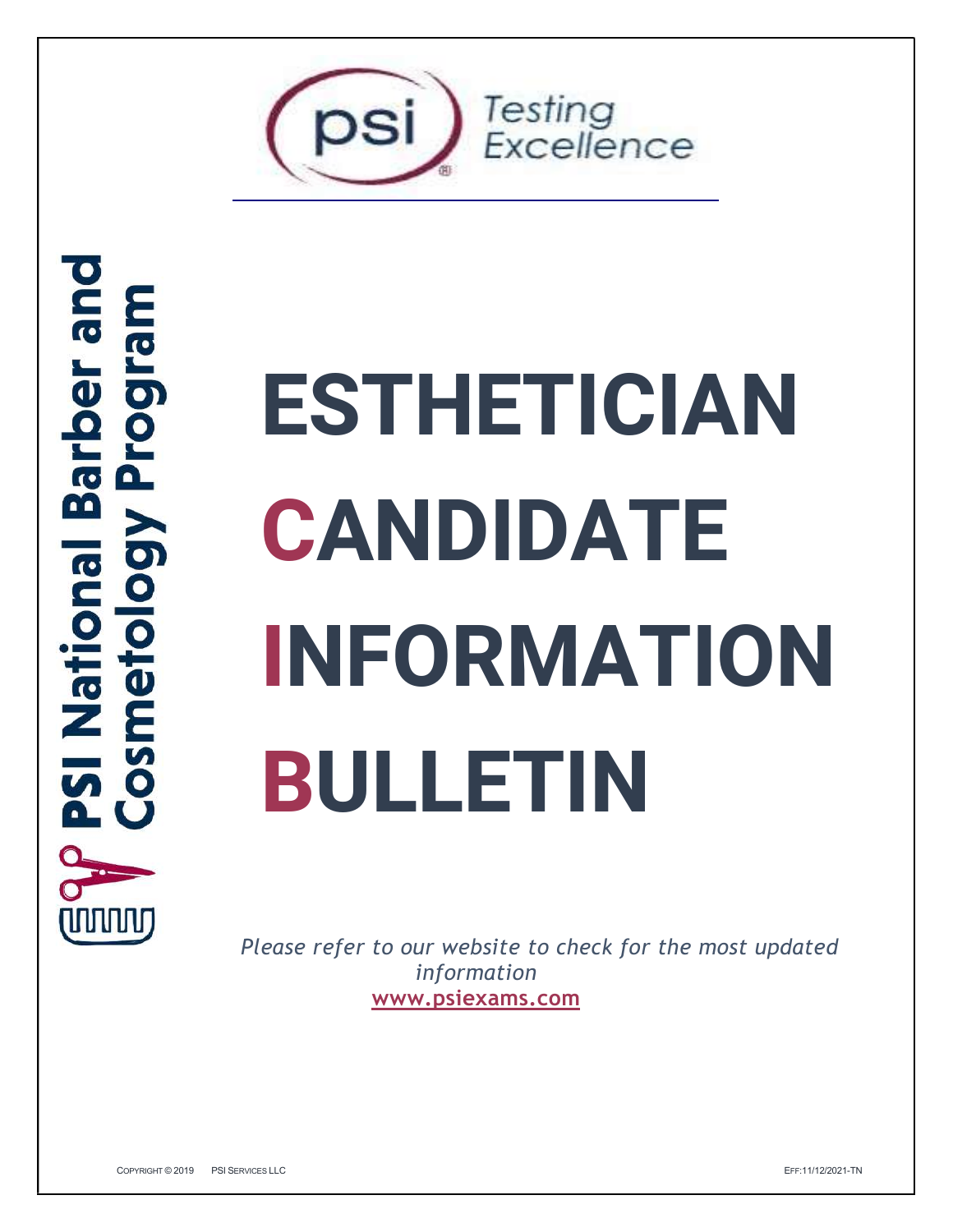

# **bue Lod Le W**  $\overline{\bullet}$ 86 **Sol nal** Nati  $\dot{\textbf{0}}$

# ESTHETICIAN **CANDIDATE** INFORMATION BULLETIN

Please refer to our website to check for the most updated<br>information<br>www.psiexams.com<br>Commans@2019 PSIERWIEBLLC<br>Commans@2019 PSIERWIEBLLC Please refer to our website to check for the most updated information www.psiexams.com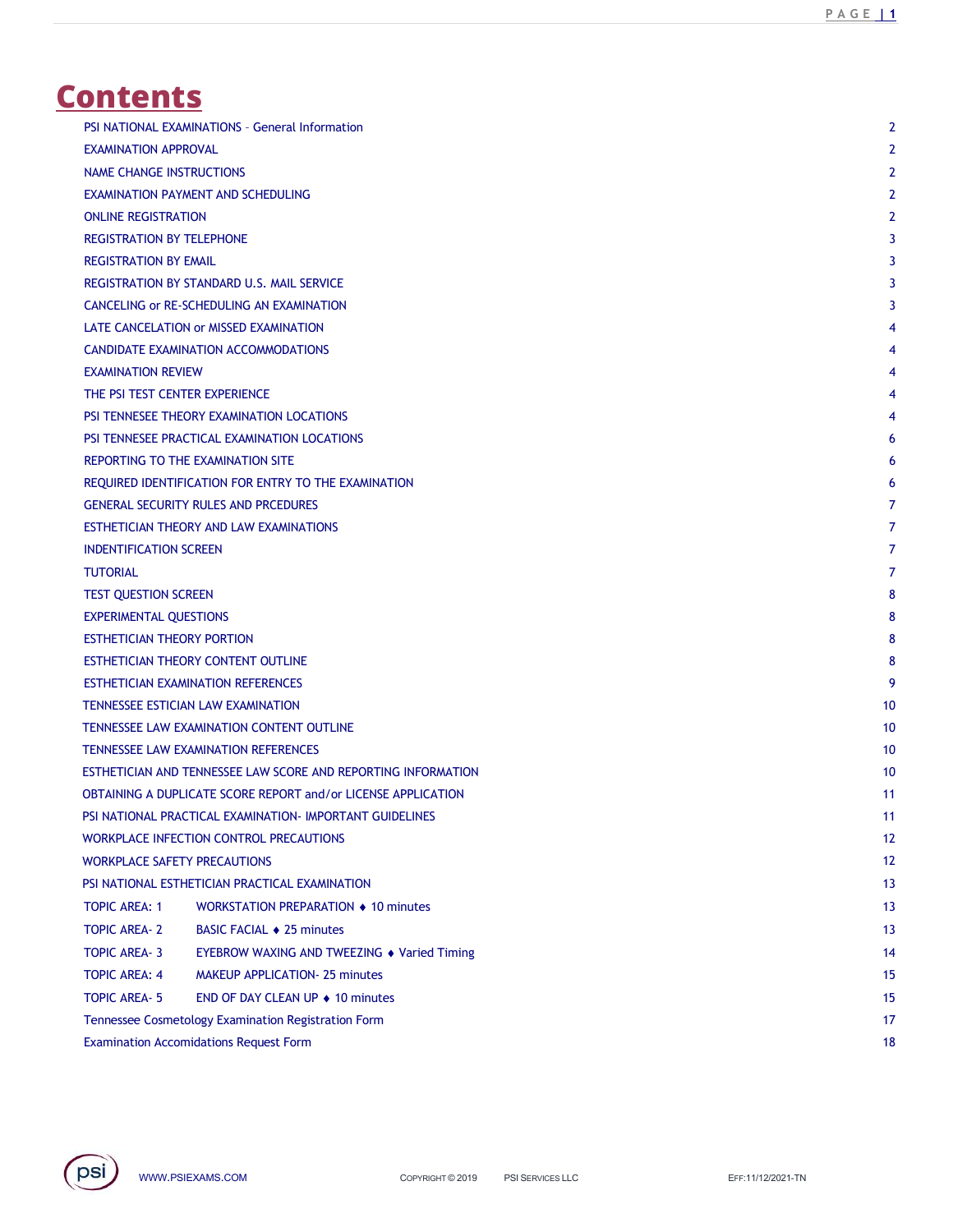# **Contents**

| ontents                                                                                   |                 |
|-------------------------------------------------------------------------------------------|-----------------|
|                                                                                           |                 |
|                                                                                           |                 |
| PSI NATIONAL EXAMINATIONS - General Information                                           | $\overline{2}$  |
| <b>EXAMINATION APPROVAL</b>                                                               |                 |
| NAME CHANGE INSTRUCTIONS                                                                  |                 |
| EXAMINATION PAYMENT AND SCHEDULING                                                        |                 |
| <b>ONLINE REGISTRATION</b>                                                                |                 |
| <b>REGISTRATION BY TELEPHONE</b>                                                          |                 |
| <b>REGISTRATION BY EMAIL</b><br>REGISTRATION BY STANDARD U.S. MAIL SERVICE                |                 |
| CANCELING or RE-SCHEDULING AN EXAMINATION                                                 |                 |
| LATE CANCELATION or MISSED EXAMINATION                                                    |                 |
| CANDIDATE EXAMINATION ACCOMMODATIONS                                                      |                 |
| <b>EXAMINATION REVIEW</b>                                                                 |                 |
| THE PSI TEST CENTER EXPERIENCE                                                            |                 |
| PSI TENNESEE THEORY EXAMINATION LOCATIONS                                                 |                 |
| PSI TENNESEE PRACTICAL EXAMINATION LOCATIONS                                              |                 |
| REPORTING TO THE EXAMINATION SITE<br>REQUIRED IDENTIFICATION FOR ENTRY TO THE EXAMINATION |                 |
| <b>GENERAL SECURITY RULES AND PRCEDURES</b>                                               |                 |
| ESTHETICIAN THEORY AND LAW EXAMINATIONS                                                   |                 |
| <b>INDENTIFICATION SCREEN</b>                                                             |                 |
| <b>TUTORIAL</b>                                                                           |                 |
| TEST QUESTION SCREEN                                                                      |                 |
| <b>EXPERIMENTAL QUESTIONS</b>                                                             |                 |
| ESTHETICIAN THEORY PORTION                                                                |                 |
| ESTHETICIAN THEORY CONTENT OUTLINE                                                        |                 |
| ESTHETICIAN EXAMINATION REFERENCES                                                        | -9              |
| TENNESSEE ESTICIAN LAW EXAMINATION                                                        | 10 <sup>°</sup> |
| TENNESSEE LAW EXAMINATION CONTENT OUTLINE<br>TENNESSEE LAW EXAMINATION REFERENCES         | 10<br>10        |
| ESTHETICIAN AND TENNESSEE LAW SCORE AND REPORTING INFORMATION                             | 10              |
| OBTAINING A DUPLICATE SCORE REPORT and/or LICENSE APPLICATION                             | 11              |
| PSI NATIONAL PRACTICAL EXAMINATION- IMPORTANT GUIDELINES                                  | 11              |
| WORKPLACE INFECTION CONTROL PRECAUTIONS                                                   | 12              |
| WORKPLACE SAFETY PRECAUTIONS                                                              | 12              |
| PSI NATIONAL ESTHETICIAN PRACTICAL EXAMINATION                                            | 13              |
| <b>TOPIC AREA: 1</b><br>WORKSTATION PREPARATION ♦ 10 minutes                              | 13              |
| <b>TOPIC AREA-2</b><br><b>BASIC FACIAL ♦ 25 minutes</b>                                   | 13              |
| <b>TOPIC AREA-3</b><br>EYEBROW WAXING AND TWEEZING ◆ Varied Timing                        | 14              |
| <b>TOPIC AREA: 4</b><br>MAKEUP APPLICATION- 25 minutes                                    | 15              |
| <b>TOPIC AREA-5</b><br>END OF DAY CLEAN UP ◆ 10 minutes                                   | 15              |
| Tennessee Cosmetology Examination Registration Form                                       | 17              |
| <b>Examination Accomidations Request Form</b>                                             | 18              |

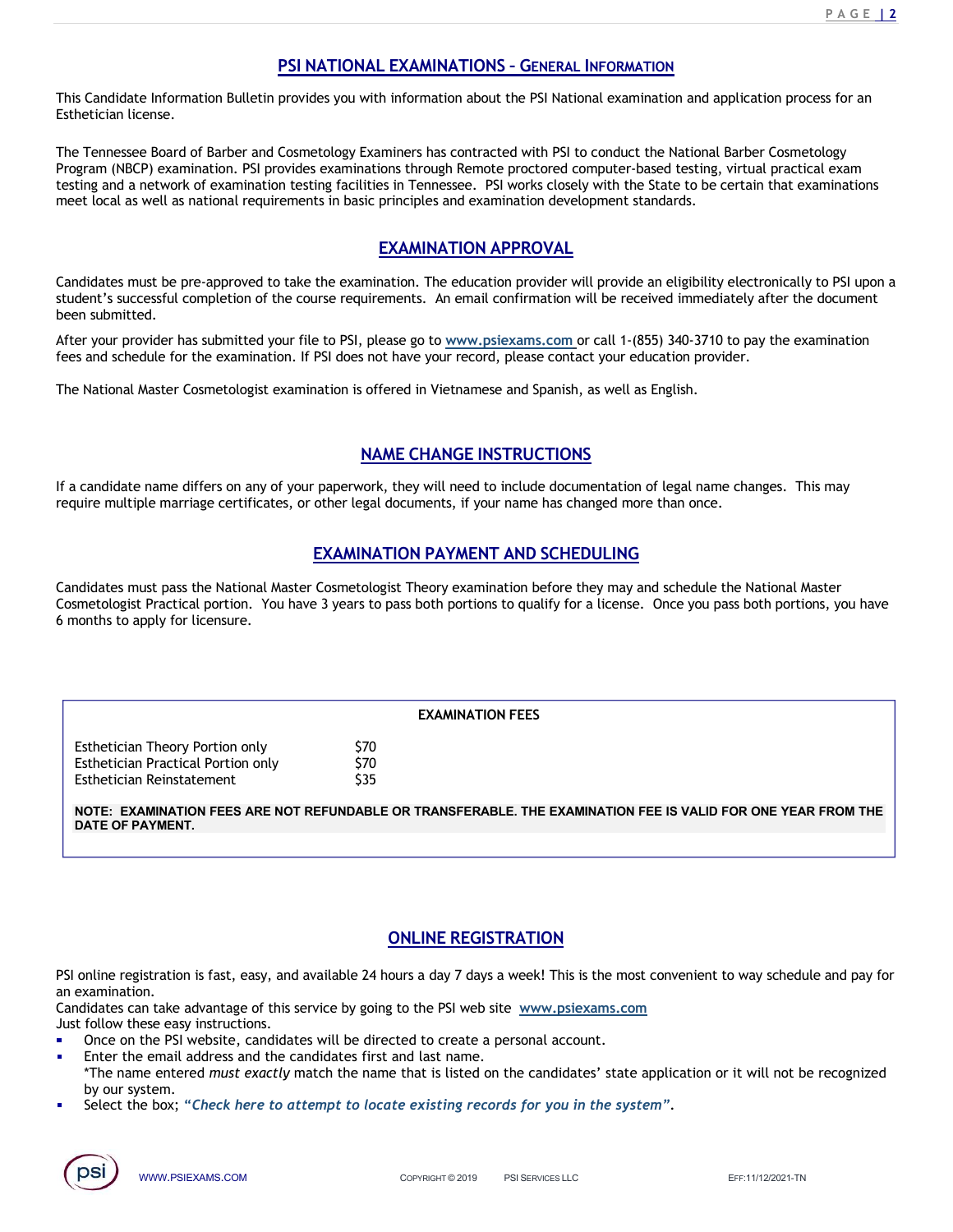<u>P A G E | 2</u><br>s for an PAGE 12<br>
PSI NATIONAL EXAMINATIONS - GENERAL INFORMATION<br>
provides you with information about the PSI National examination and application process for an<br>
Cosmetology Examiners has contracted with PSI to conduct the Nation This Candidate Information Bulletin provides you with information about the PSI National examination and application process for an Esthetician license.

**PAGE 12**<br> **PSI NATIONAL EXAMINATIONS - GENERAL INFORMATION**<br>
This Candidate Information Bulletin provides you with information about the PSI National examination and application process for an<br>
Esthetician license.<br>
The T **PAGE 12**<br> **PROGE 12**<br> **PROGE 12**<br> **PROGE 12**<br> **PROGE 12**<br> **PESI NATIONAL EXAMINATIONS - GENERAL INFORMATION**<br> **ESTING TO EXAMINATION** EXAMINATION PSI to conduct the National Barber Cosmetology<br>
Program (NBCP) examination **EXAMINATIONS - GENERAL INFORMATION**<br>
This Candidate Information Bulletin provides you with information about the PSI National examination and application process for an<br>
Esthetician license.<br>
The Tennessee Board of Barbe meet local as well as national requirements in basic principles and examination development standards. **EXAMINATIONS - GENERAL INFORMATION**<br>
Information about the PSI National examination and application process for an<br>
information about the PSI to conduct the National Barber Cosmetology<br>
Insural practical examples<br>
In Ten **PACE THE CAN INTERT CONSET ASSEMATE ASSEMATE ASSEMATE ASSEMATE ASSEMATE ASSEMATE ASSEMATE ASSEMATE ASSEMATE AND ARTHOLD AND THE SERVICE CONSERVAT THE THE THE THE THE CHRON RESTRICTION THAT THE THE THE THE THE THE CONSERV FRIST CONDUCT THE CONDUCT CONDUCT CONDUCT CONDUCT CONDUCT CONDUCT CONDUCT CONDUCT CONDUCT CONDUCT CONDUCT CONDUCT CONDUCT CONDUCT CONDUCT CONDUCT CONDUCT CONDUCT CONDUCT CONDUCT CONDUCT CONDUCT CONDUCT CONDUCT CONDUCT CO PACE IS ANTIONAL EXAMINATIONS - GENERAL INFORMATION**<br>
This Candidate Information Bulletin provides you with information about the PSI National examination and application process for an<br>
The Tennessee Board of Barber and **FAIN SCANDING EXAMINATIONS - GENERAL INFORMATION**<br> **FEED MATION CONTEXT CONSUMMENT CONSUMMENT CONSUMMENT CONSUMMENT CONSUMMENT CONSUMMENT CONSUMMENT CONSUMMENT CONSUMPTION TO FAIN THE THE THE THE THE THE THE SCHEME CONSU EXAMINATIONS - GENERAL INFORMATION**<br> **PAGE SET AND INTERNATIONS** - GENERAL INFORMATION<br>
This Candidate Information Bulletin provides you with information about the PSI National examination and application process for an<br> **IAL EXAMINATIONS - GENERAL INFORMATION**<br>
With information about the PSI National examination and application process for an<br>
Examiners has contracted with PSI to conduct the National Barber Cosmetology<br>
Resultations throu This Candidate Information Bulletin provides you with information about the PSI to conduct the National Barber Cosmetology<br>
ISSN bricken iterare.<br>
The Tennessee Board of Barber and Cosmetology Examiners has contracted with require multiple marriage certificates, or other legal documents, if you rane has changed more than once. The Tennessee Board of Barber and Cosmetology Examiners has contracted with PSI to conduct the National Barber Cosme Etology Examiners has contracted with PSI to conduct the National Barber Cosmoltane<br>
Examinations through Remote proctored computer-based testing, virtual practical exam<br>
ing facilities in Tennessee. PSI works closely with

been submitted.

testing and anetwork of examination testing racitities in Temnessoe. PSI works closely with the State to be certain that examinations<br>meet local as well as national requirements in basic principles and examination evelopme meet local as welt as national requirements in basic principles and examination development standards.<br>
EXAMINATION APPROVAL<br>
Candidates must be pre-approved to lake the examination. The education provide an eligibility el 6 months to apply for licensure. **TION PAYMENT AND SCHEDULING**<br>
Sist Theory examination before they may and schedule the National Master<br>
Sand South portions to qualify for a license. Once you pass both portions, you have<br> **EXAMINATION FEES**<br> **ONLINE REGI** Condidates must pass the National Master Coametologist Theory examination before they may and schedule the National Master<br>
Commetologist Practicular, Orientare,<br>
Simulation Packletical Practicular Detrivene.<br>
EXAMINATION Eyal provider ina submitted your inter or by, pease you or weak and schedule for the examination. If PSI does not have your record, please contact your education provider.<br>
National Master Cosmetologist examination is offe STANDING THE EXAMINATION FELO STANDABLE OR TRANSFERABLE. THE EXAMINATION FEE IS VALID FOR ONE YEAR FROM THAT AND SCHEDULING<br>
ESTANDA MASTER CONTENDED IN THE CHANGE INSTRUCTIONS<br>
Candidate name differs on any of your paperw

# EXAMINATION FEES

Esthetician Reinstatement \$35

NOTE: EXAMINATION FEES ARE NOT REFUNDABLE OR TRANSFERABLE. THE EXAMINATION FEE IS VALID FOR ONE YEAR FROM THE DATE OF PAYMENT.

an examination.

Just follow these easy instructions.

- 
- Reinstatement<br>
WANNATION FEES ARE NOT REFUNDABLE OR TRANSFERABLE. THE EXAMINATION FEE IS VALID FOR ONE YEAR FROM THE<br>
SAYMENT.<br>
SAYMENT.<br>
SAYMENT.<br>
SAYMENT.<br>
SAYMENT.<br>
SAYMENT.<br>
SAYMENT.<br>
SAYMENT.<br>
SAYMENT.<br>
SAYMENT.<br>
SAYM Cosmetologist Practical portion. You have 3 years to pass both portions to quality for a license. Once you pass both portions, you have<br>
in months to apply for licensure.<br>
Exhetician Prectical Portion only<br>
Exhectican Prec **EXAMINATION FEES**<br>
EXAMINATION FEES<br>
Exhibertician Practical Portion only<br>
STO<br>
ONCE: EXAMINATION FEES ARE NOT REFUNDABLE OR TRANSFERABLE. THE EXAMINATION FEE IS VALID FOR ONE YEAR FROM THE<br>
ATE OF PAYMENT.<br>
THE OF PAYMEN EXAMINATION FEES<br>
ENTERT PROCELAT PORTOR TO MANUST STONDABLE OR TRANSFERABLE. THE EXAMINATION FEE<br>
SUBSTICTE: EXAMINATION FEES ARE NOT REFUNDABLE OR TRANSFERABLE. THE EXAMINATION FEE<br>
ATE OF PAYMENT.<br>
Multine registration EXAMINATION FEES<br>
STO sthetician Principal Portion only<br>
STO<br>
STO EXE: EXAMINATION FRES ARE NOT REFUNDABLE OR TRANSFERABLE. THE EXAMINATION FEE IS VALID FOR ONE YEAR FROM THE<br>
NITE OF PAYMENT:<br>
NITE OF PAYMENT:<br>
NITE OF PA by our system. SEN EXAMINATION FEES<br>
SENGIVENTION THE SELECT TO A STONE SERVICE TO ATTEMPT OF THE EXAMINATION FEE IS VALID FOR ONE YEAR FROM<br>
STO THE EXAMINATION FEES ARE NOT REFUNDABLE OR TRANSFERABLE. THE EXAMINATION FEE IS VALID FOR O
- 

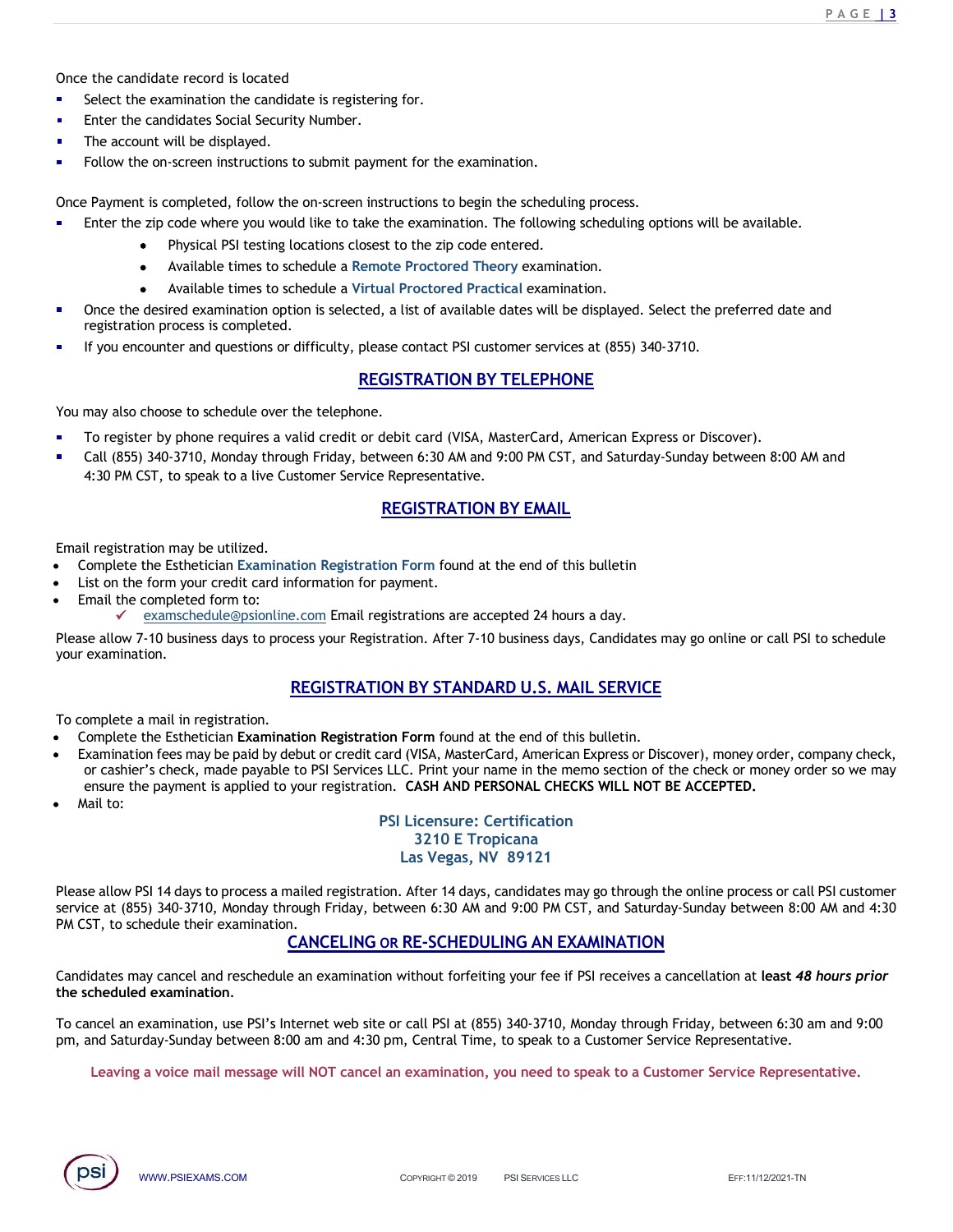- Select the examination the candidate is registering for.
- 
- 
- Once the candidate record is located<br>• Select the examination the candidate is registering for.<br>• Enter the candidates Social Security Number.<br>• The account will be displayed.<br>• Follow the on-screen instructions to submit

Exercise the candidate record is located<br>Select the examination the candidate is registering for.<br>Enter the candidates Social Security Number.<br>The account will be displayed.<br>Follow the on-screen instructions to begin the s

- The candidate record is located<br>
Select the examination the candidate is registering for.<br>
Enter the candidates Social Security Number.<br>
The account will be displayed.<br>
Follow the on-screen instructions to submit payment f PAGE 13<br>
Select the examination the candidate is registering for.<br>
Enter the candidates Social Security Number.<br>
The account will be displayed.<br>
Follow the on-screen instructions to submit payment for the examination.<br>
Pay **Once the candidate record is located**<br>
• Select the examination the candidate is registering for.<br>
• Enter the candidates Social Security Number.<br>
• The account will be displayed.<br>
• Follow the on-screen instructions to s
	-
	- Available times to schedule a Remote Proctored Theory examination.
	- Available times to schedule a Virtual Proctored Practical examination.
- **ENTE ALT SET ALT SET ALT SET ALT SET ALT SET ALT SET ALT SET ALT SET ALT SET ALT SET ALT SET ALT SET ALT SET ALT SET ALT SET ALT SET ALT SET ALT SET ALT SET ALT SET ALT SET ALT SCHEDULA ALT SCHEDULA ALT SCHEDULE A PAPART PAGE 13**<br>
Referred is located<br>
any animation the candidate is registering for.<br>
Sidiates Social Security Number.<br>
Sidiates Social Security Number.<br>
Sidiate displayed.<br>
Sidiate times to schedule a Remote Proctored Practica **PAGETS**<br>
Select the examination the candidate is registering for.<br>
Select the examination is concerned examination of the desired examination.<br>
The account will be displayed.<br>
Selected, follow the on-screen instructions registeric endidate record is located<br>Select the examination the candidate is registering for.<br>The account will be displayed.<br>The account will be displayed.<br>Follow the on-screen instructions to submit payment for the exami **Example 12**<br>
Select the examination the candidate is registering for.<br>
Senect the examination the candidates Social Security Number.<br>
The account will be displayed.<br>
Follow the on-screen instructions to submit payment for
- 

You may also choose to schedule over the telephone.

- 
- PAGE 13<br>
stering for.<br>
instructions to begin the scheduling process.<br>
ake the examination. The following scheduling options will be available.<br>
soest to the zip code entered.<br>
consects to the zip code entered.<br>
increase co Bethe candidate record is located<br>
Select the examination the candidate is registering for.<br>
The account will be displayed.<br>
To register by completed, follow the on-screen instructions to begin the scheduling process.<br>
Fro e the candidate record is located<br>
Select the examination the candidate Social Security Number.<br>
The account will be displayed.<br>
Tollow the on-screen instructions to submit payment for the examination.<br>
Tollow the on-scree the candidate record is located<br>
Select the examination the candidate is registering for.<br>
Short the examination the candidate Social Security Number.<br>
The account will be displayed.<br>
Follow the on-screen instructions to s ment for the examination.<br>
Restructions to begin the scheduling process.<br>
the examination. The following scheduling options will be available.<br>
to to the zip code entered.<br>
rest to the zip code entered.<br>
Leading Proctored Follow the on-screen instructions to submit payment for the examination.<br>
Enter the zip onde where you would like to take the examination. The scheduling process.<br>
Enter the zip of develope where you would like to take the Example is completed, follow the on-screen instructions to begin the scheduling process.<br>
Enter the zip code where you would like to take the examination. The following scheduling option<br>
• Physical PSI testing locations c your examination.

Email registration may be utilized.

- 
- 
- Email the completed form to:
	-

zip code where you would like to take the examination. The following scheduling options will be available.<br>
• Physical PSI testing locations closest to the 2iz code entered.<br>
• Available times to schedule a Remote Proctore • Physical PSI testing locations closest to the zip code entered.<br>• Available times to schedule a Remote Proctored Practical examination.<br>• Available times to schedule a Pitchial Proctored Practical examination.<br>• The des

To complete a mail in registration.

- 
- chedule a Virtual Proctored Practical examination.<br>
Signary of Select the preferred date and<br>
difficulty, please contact PSI customer services at (855) 340-3710.<br> **REGISTRATION BY TELEPHONE**<br>
the telephone.<br>
REGISTRATION B If you encounter and questions or difficulty, please contact PSI customer services at (855) 340-3710.<br>
To register by phone requires a valid credit or debit card (VISA, MasterCard, American Express or Discover).<br>
To regist The paid of the companion of the credit card of the credit card (VISA, MasterCard, American Express or Discover),<br>The register by phone requires a valid credit or debit card (VISA, MasterCard, American Express or Discover) **EREGISTRATION BY TELEPHONE**<br>To register by phone requires a valid credit card (VISA, MasterCard, American Express or Discover).<br>Call (855) 340-3710, Monday through Friday, between 6:30 AM and 9:00 PM CST, and Saturday-Sun may also choose to schedule over the telephone.<br>
To register by phone requires a valid credit or debit card (VISA, MasterCard, American Express or Discover).<br>
Call (855) 340-3710, Monday through Friday, between 6:300 AM an orient and (VISA, MasterCard, American Express or Discover).<br>
Ween 6:30 AM and 9:00 PM CST, and Saturday-Sunday between 8:00 AM and<br>
Representative.<br>
REGISTRATION BY EMAIL<br>
Lion Form found at the end of this bulletin<br>
paym Email registration may be utilized.<br>
Complete the Esthetician Examination Registration Form found at the end of this bulletin<br>
List on the form your credit card information for payment.<br>
Examinedule expositentine, comp Ema REGISTRATION BY STANDARD U.S. MAIL SERVICE<br>
mynplete the Esthetician Examination Registration Form found at the end of this bulletin.<br>
maintains researchers the cancelers and by debut or credit card (NISA, MasterCard, Amer
- Mail to:

# 3210 E Tropicana Las Vegas, NV 89121

r s check, made payable to Psi services LLC. Print your name in the memb section of the check or money order so we may<br>
PSI Licensure: Certification<br>
BSI Licensure: Certification<br>
ISS University and D-TO BE ACCEPTED.<br>
ISS **PEGISTRATION BY EMAIL**<br>
Complete the Esthetician Examination Registration form found at the end of this bulletin<br>
List on the complete complete Complete<br>
Example the complete complete complete<br>
Free allow 7-10 business da Service at (855) 357 AM and the end of this bulletin<br>
List on the form your credit card information for payment.<br>
List on the form your credit card information for payment.<br>
Flease allow 7-10 business days to process your ation Registration Form found at the end of this bulletin<br>
<u>nformation for payment.</u><br>
<u>e.com</u> Email registrations are accepted 24 hours a day.<br>
<u>CCC</u><br> **REGISTRATION BY STANDARD U.S. MAIL SERVICE**<br> **REGISTRATION BY STANDARD** Least allow PSI Is the information or payment.<br>
Least on the form your credit cand information for payment.<br>
Please allow 7-10 business days to process your Registration. After 7-10 business days, Candidates may go online From the complete form to:<br>
Flease allow 7-10 business days to process your Registration. After 7-10 business days, Candidates may go online or call PSI to schedule<br>
Please allow 7-10 business days to process your Registra

pm, and Saturday-Sunday between 8:00 am and 4:30 pm, Central Time, to speak to a Customer Service Representative.

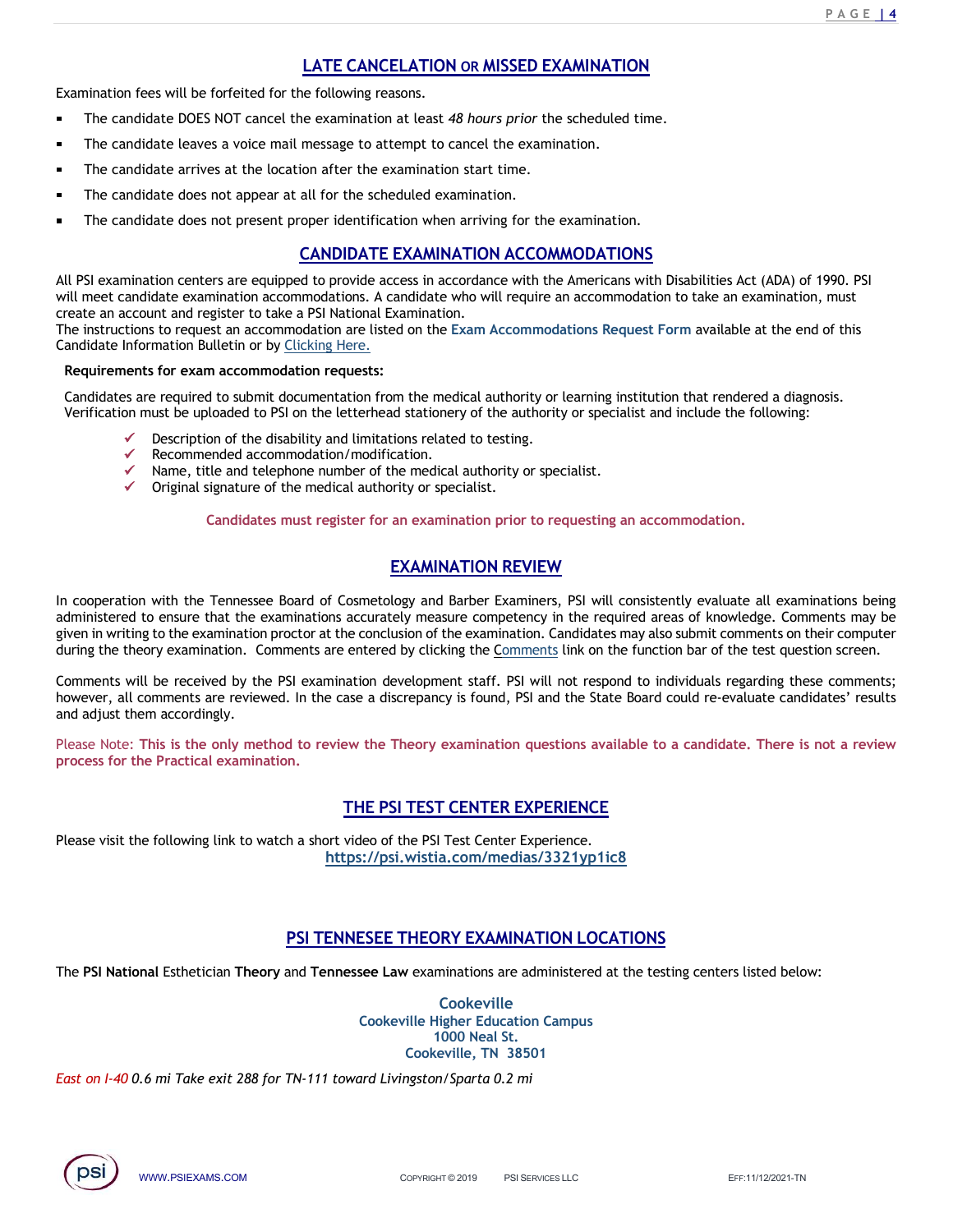# PAGE 14<br> **LATE CANCELATION OR MISSED EXAMINATION**<br>
e following reasons.<br>
e examination at least 48 hours prior the scheduled time.<br>
message to attempt to cancel the examination.

- **LATE CANCELATION OR MISSED EXAMINATION**<br> **Examination fees will be forfeited for the following reasons.**<br>
 The candidate DOES NOT cancel the examination at least 48 hours prior the scheduled time.<br>
 The candidate arrive **LATE CANCELATION OR MISSED EXAMINATION**<br>The candidate DOES NOT cancel the examination at least 48 hours prior the scheduled time.<br>The candidate leaves a voice mail message to attempt to cancel the examination.<br>The candida
- The candidate leaves a voice mail message to attempt to cancel the examination.
- The candidate arrives at the location after the examination start time.
- 
- 

**EXECUTE CANCELATION OR MISSED EXAMINATION**<br>The candidate DOES NOT cancel the examination at least 48 hours prior the scheduled time.<br>The candidate leaves a voice mail message to attempt to cancel the examination.<br>The cand **EXERT CANCELATION OR MISSED EXAMINATION**<br>The candidate DOES NOT cancel the examination at least 48 hours prior the scheduled time.<br>The candidate loves not present examination at least 48 hours prior the scheduled time.<br>Th  $P A G E I 4$ <br> **LATE CANCELATION OR MISSED EXAMINATION**<br>
the following reasons.<br>
the examination at least 48 hours prior the scheduled time.<br>
message to attempt to cancel the examination.<br>
ion after the examination start time **EXamination fees will be forfeited for the following reasons.**<br> **The candidate DOES NOT cancel the examination at least 48 hours prior the scheduled time.**<br>
The candidate acress a voice mail message to attempt to cancel t **EXAMIDE CANCELATION OR MISSED EXAMINATION**<br> **EXAMIDENT THE CANCE CONSET CONSET CONSET CONSET CONSET CONSET CONSET CONSET CONSET CONSET CONSET CONSET CONSET<br>
The candidate leaves a voice mail message to attempt to cancel** create an account and register to take a PSI National Examination. **LATE CANCELATION OR MISSED EXAMINATION**<br> **CALC TRANCELATION CONDUMBER TO THE CANDIDATE TO THE CAND CONDUMBER TO THE CANDIDATE THE candidate leaves a voice mail message to attempt to cancel the examination.<br>
The candidate EXAMIDE CANCELATION OR MISSED EXAMINATION**<br>
The candidate DOES NOT cancel the examination at least 48 hours prior the scheduled time.<br>
The candidate leasers a voice mail message to attempt to cancel the examination.<br>
The

The instructions to request an accommodation are listed on the Exam Accommodations Request Form available at the end of this

# Requirements for exam accommodation requests:

Verification must be uploaded to PSI on the letterhead stationery of the authority or specialist and include the following:

- Description of the disability and limitations related to testing.
- Recommended accommodation/modification.
- Name, title and telephone number of the medical authority or specialist.
- Original signature of the medical authority or specialist.

Candidates must register for an examination prior to requesting an accommodation.

xamination start time.<br>
EXAMINATION ACCOMMODATIONS<br>
EXAMINATION ACCOMMODATIONS<br>
EXAMINATION ACCOMMODATIONS<br>
EXAMINATION ACCOMMODATIONS<br>
Interactions: a commodation to take an examination, must<br>
xamination.<br>
Examination.<br> **The control of the Tennessee Board of Cosmetate) consistently for the examination.**<br>
IN FSI examination centers are equipled to provide access in accordance with the Americans with Disabilities Act (ADA) of 1990. PSI<br>
Al • The candidate does not present proper identification when arriving for the examination.<br>
All PSI examination exacts are equired to provide access in accordance with the Americans with Disabilities Act (ADA) of 1990, PSI<br> GANDIDATE EXAMINATION ACCOMMODATIONS<br>
will meet candidate commission correction accommodations. A candidate who will require an accommodation to take an examination, must<br>
create an accommodation are linke a PSI National E CANDIDATE EXAMINATION ACCOMMODATIONS<br>
Will meet candidate commention accommodations. A candidate who will require an accommodation to take an examination, must<br>
The instructions to request are accommodation test in examina All PSI examination centers are equipped to provide access in accommodation. A candidate who will require an accommodation to take an examination, must<br>create an accommodations. A candidate who will require an accommodatio will recet commission common common common common common common common control.<br>The instructions or request an account and register to take a PSI National Example.<br>
The instructions for Candidate information bulletin or by Candidate Information Bulletin or by <u>Clicking Here</u>.<br> **Requirements for exam accommodation requests:**<br>
Candidates are required to submit documentation from the medical authority or locaring institution that rendered a dia etterhead stationery of the authority or specialist and include the following:<br>
limitations related to testing.<br>
Imoltification.<br>
Der of the medical authority or specialist.<br>
Data withouty or specialist.<br>
Like the for an e **EXAMINATION REVIEW**<br>
exard of Cosmetology and Barber Examiners, PSI will consistently evaluate all examinations being<br>
minations accurately measure competency in the required areas of knowledge. Comments may be<br>
beread th In cooperation with the Tennessee Bond of Cornectology and Barber Examiners, PSI will consistently evaluate all examinations being<br>administratored to ecoulogy and Barber Examiners. The first consideration in withing to the

and adjust them accordingly. Conments will be received by the PSI examination development staff. PSI will not respond to in<br>thowever, all comments are reviewed. In the case a discrepancy is found, PSI and the State Board<br>process for the Practical exam

process for the Practical examination.

**THE PSI TEST CENTER EXPERIENCE**<br>
Inttps://psi.wistia.com/medias/3321yp1ic8<br>
Intps://psi.wistia.com/medias/3321yp1ic8<br>
PSI TENNESEE THEORY EXAMINATION LOCATIONS<br>
TRIP COPY AND THEORY EXAMINATION LOCATIONS<br>
COPY AND NOT NOT Please visit the following link to watch a short video of the PSI Test Center Experience. https://psi.wistia.com/medias/3321yp1ic8

**Cookeville** Cookeville Higher Education Campus 1000 Neal St. Cookeville, TN 38501

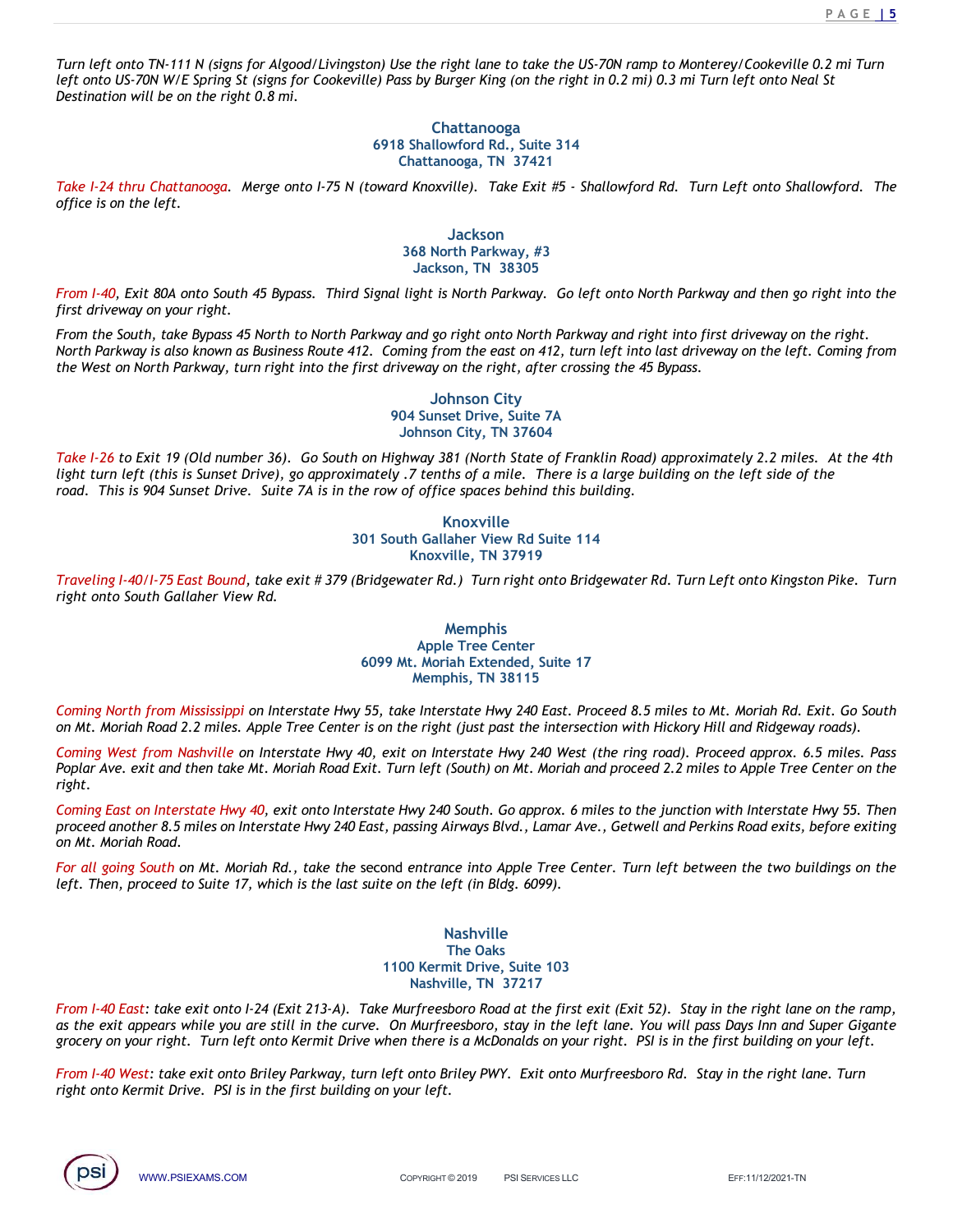<u>P A G E **| 5**</u><br>2 mi Turn<br>St Turn left onto TN-111 N (signs for Algood/Livingston) Use the right lane to take the US-70N ramp to Monterey/Cookeville 0.2 mi Turn left onto US-70N W/E Spring St (signs for Cookeville) Pass by Burger King (on the right in 0.2 mi) 0.3 mi Turn left onto Neal St Destination will be on the right 0.8 mi. Figure I-24 thru Chattanooga.<br>
Turn Chattanooga I-24 thru Chattanooga. Merge onto I-75 N (toward Knoxville). Take Exit #5 - Shallowford Rd. Turn Left onto Shallowford. The US-70N will be on the right 0.8 mi.<br>
Chattanooga.

# Chattanooga 6918 Shallowford Rd., Suite 314 Chattanooga, TN 37421

office is on the left.

# **Jackson** 368 North Parkway, #3 Jackson, TN 38305

From I-40, Exit 80A onto South 45 Bypass. Third Signal light is North Parkway. Go left onto North Parkway and then go right into the first driveway on your right.

From the South, take Bypass 45 North to North Parkway and go right onto North Parkway and right into first driveway on the right. North Parkway is also known as Business Route 412. Coming from the east on 412, turn left into last driveway on the left. Coming from the West on North Parkway, turn right into the first driveway on the right, after crossing the 45 Bypass. Take I-26 to Exit 19 (Old number 36). Go South of Pirsc disconsisting on the right in 0.2 mil to the right on the right on the right on the right on the right on the right on the right of the right on the right of the righ light antic US-70N Wirld Spring St (issues for Cookeville) Pass by Burger King (on the right in 0.2 mil 0.3 mil Turn left cnic Neal State 14<br>
Chestination will be on the right 0.8 mil.<br>
(State 14 the left sixes), as Sunse room. The right 2.8 min the right 2.8 min the right 2.8 min the right 2.8 min the right 2.8 min the right 2.8 min the road. This Shallowford Rd., Suite 314<br>
From 1-0. Exit 80A onto South 45 Bypass. Third Signal light is No 318 Shallowford Rd., Suite 314<br>
16918 Shallowford Rd., Suite 314<br>
16 Chatanooga, TN 37421<br>
16 (toward Knoxville). Take Exit #5 - Shallowford Rd. Turn Left onto Shallowford. The<br>
16 Solech Parkway,  $m$  38305<br>
368 North Par Take 1-24 thru Chattanooga. Merge onto 1-75 N (toward Knoxville). Take Exit #5 - ShallowJord Rd. Turn Left onto ShallowJord. The<br>
38 North Parkway, #3<br>
38 North Parkway, and then go right.<br>
Fran 1-40. Exit 80A onto South 4 right on the left.<br>
South A5 Bypass. Third Signal light is North Parkway, #3<br>
Jackson<br>
Jackson, TN 38305<br>
From 1-40, Exit 80A onto South 45 Bypass. Third Signal light is North Parkway. Go left onto North<br>
From the South, t

# Johnson City 904 Sunset Drive, Suite 7A Johnson City, TN 37604

# Knoxville<br>114 South Gallaher View Rd Suite Knoxville, TN 37919

# Memphis Apple Tree Center 6099 Mt. Moriah Extended, Suite 17 Memphis, TN 38115

Coming North from Mississippi on Interstate Hwy 55, take Interstate Hwy 240 East. Proceed 8.5 miles to Mt. Moriah Rd. Exit. Go South

From the South, take legness of Shorth rank-take Meth Park-way and so right anto Worth Park-way and the first intersection when the first intersection with the first park-<br>on Meth Park-way, turn right into the first drivew Coming West from Nashville on Interstate Hwy 40, exit on Interstate Hwy 240 West (the ring road). Proceed approx. 6.5 miles. Pass Poplar Ave. exit and then take Mt. Moriah Road Exit. Turn left (South) on Mt. Moriah and proceed 2.2 miles to Apple Tree Center on the right. eywater Rd.) Turn right onto Bridgewater Rd. Turn Left onto Kingston Pike. Turn<br>
Memphis<br>
Apple Tree Center<br>
19 Mt. Moriah Extended, Suite 17<br>
Apple Tree Center<br>
19 Mt. Moriah Extended, Suite 17<br>
Memphis, TN 38115<br>
take In Memphis<br>
From I-40 East: take exit on Interstate Hwy 55. The Security and Apple Tree Center is on the right of the I-24 (Exit 213-A). The Murfred S.5 miles to Mt. Moriah Rd. Exit. Go South on Mt. Moriah Rd. 21. Components, Associates the exit and Murfrees Center<br>
Althous The Memphis, The 369 Mk. Morialn Extended 6, Suite 17<br>
Coming Next from Musisissippi on Interstate Proy 35, take Interstate Hwy 240 East. Proceed 8.5 miles to Mk. Morialn Ri group The Center Center State 1000 Mk. Morialn Extended, Suite 17<br>
Memphis, TN 38115<br>
Memphis, TN 38115<br>
on Mk. Morialn Rdd 2.2 miles Apple Tree Center is on the right (just past the interaction with Hickory Hill and Ridge Examples the mphils, TN 38115<br>
Secret the material Home Hight (Just park the restact Brivar AM Cast. Proceed 8.5 miles to Mt. Moriah Rad 2.2 miles. Apple Tree Center is on the right (Just park the intersection with Hickory Coming North from Mississippi on Interstate Hwy 55, take Interstate Hwy 240 East. Proceed 8.5 miles to Mn Mt. Moriah Road 2.2 miles. Apple Tree Center is on the right (just past the intersection with Hickory Hill<br>
Coming W

Coming East on Interstate Hwy 40, exit onto Interstate Hwy 240 South. Go approx. 6 miles to the junction with Interstate Hwy 55. Then proceed another 8.5 miles on Interstate Hwy 240 East, passing Airways Blvd., Lamar Ave., Getwell and Perkins Road exits, before exiting on Mt. Moriah Road.

For all going South on Mt. Moriah Rd., take the second entrance into Apple Tree Center. Turn left between the two buildings on the left. Then, proceed to Suite 17, which is the last suite on the left (in Bldg. 6099).

> Nashville The Oaks<br>1100 Kermit Drive, Suite 103 Nashville, TN 37217

And users take Mc. Mortain Roda Ext. Train tep (300til) of mc. Morial and processor. 2.2 times to Apple Tree Center on the<br>non herestate Hwy 240 East, passing Airways Blvd, Lamar Ave., Getwell and Perkins Rod exits, befor

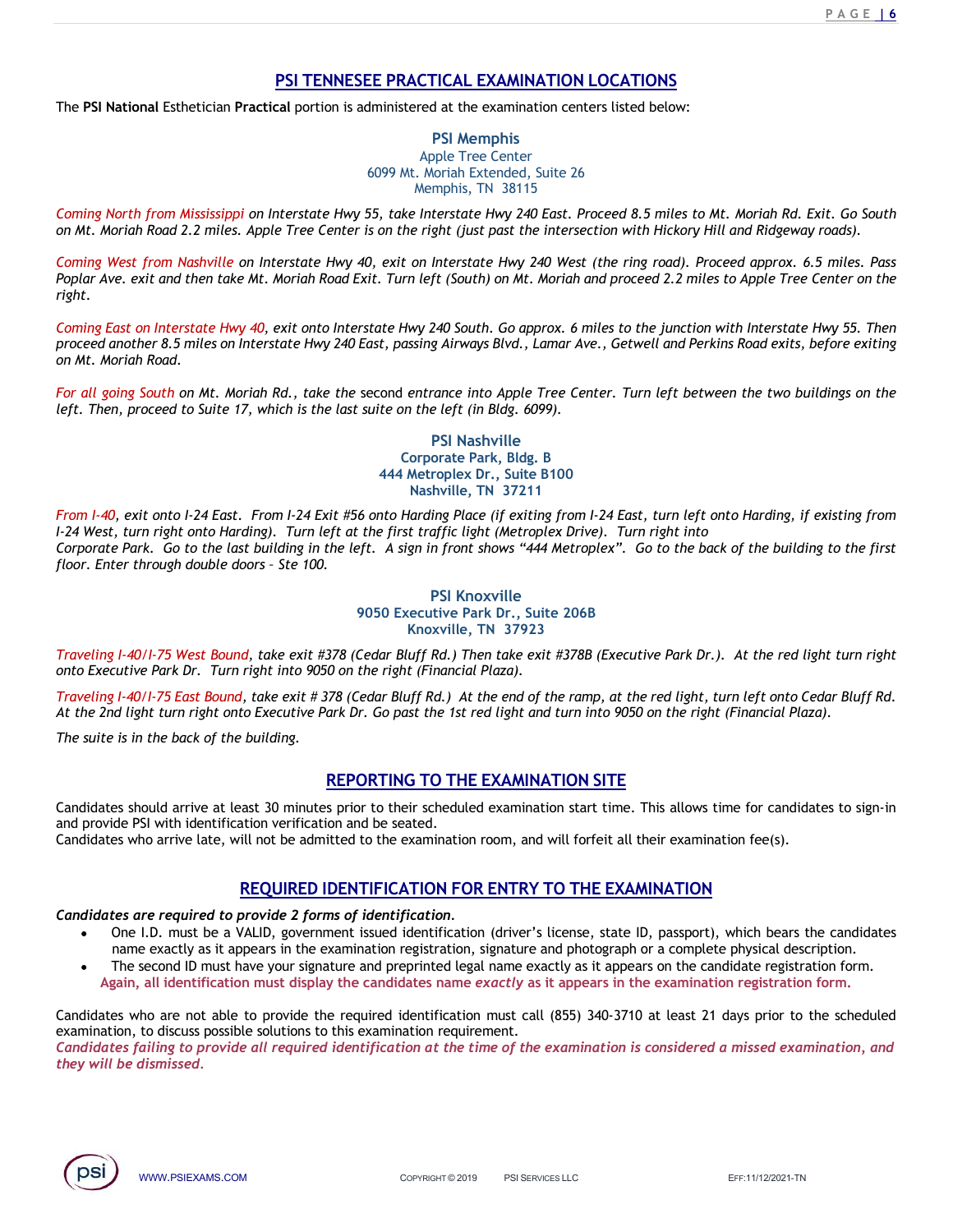The PSI National Esthetician Practical portion is administered at the examination centers listed below:

PAGE 16<br>
PSI TENNESEE PRACTICAL EXAMINATION LOCATIONS<br>
cal portion is administered at the examination centers listed below:<br>
PSI Memphis<br>
Apple Tree Center<br>
6099 Mt. Moriah Extended, Suite 26 PSI Memphis Apple Tree Center 6099 Mt. Moriah Extended, Suite 26 Memphis, TN 38115

Coming North from Mississippi on Interstate Hwy 55, take Interstate Hwy 240 East. Proceed 8.5 miles to Mt. Moriah Rd. Exit. Go South on Mt. Moriah Road 2.2 miles. Apple Tree Center is on the right (just past the intersection with Hickory Hill and Ridgeway roads).

Coming West from Nashville on Interstate Hwy 40, exit on Interstate Hwy 240 West (the ring road). Proceed approx. 6.5 miles. Pass Poplar Ave. exit and then take Mt. Moriah Road Exit. Turn left (South) on Mt. Moriah and proceed 2.2 miles to Apple Tree Center on the right. FOR PRACTICAL EXAMINATION LOCATIONS<br>
For all going North from Mississippi on Interstate phy 55 I Memphis.<br>
Apple Tree Center.<br>
South Muslim Rd., thoreas is the proper South of the seamination centers listed below:<br>
Coming

Coming East on Interstate Hwy 40, exit onto Interstate Hwy 240 South. Go approx. 6 miles to the junction with Interstate Hwy 55. Then proceed another 8.5 miles on Interstate Hwy 240 East, passing Airways Blvd., Lamar Ave., Getwell and Perkins Road exits, before exiting on Mt. Moriah Road.

left. Then, proceed to Suite 17, which is the last suite on the left (in Bldg. 6099).

# PSI Nashville Corporate Park, Bldg. B 444 Metroplex Dr., Suite B100 Nashville, TN 37211

From I-40, exit onto I-24 East. From I-24 Exit #56 onto Harding Place (if exiting from I-24 East, turn left onto Harding, if existing from I-24 West, turn right onto Harding). Turn left at the first traffic light (Metroplex Drive). Turn right into Corporate Park. Go to the last building in the left. A sign in front shows "444 Metroplex". Go to the back of the building to the first From Mississippi on Interstate Hwy 55, take interstate (Suite 26<br>
Michael Scatter 2008)<br>
Michael Scatter Huy 240 Ext. Proceed 8.5 miles to Mt. Moriah Michael Scatter Huy 240 Ext. Proceed 8.5 miles to Mt. Moriah Ridge<br>
Com ie right (just past the intersection with Hickory Hill and Ridgeway roads).<br>
on Interstate Hwy 240 West (the ring road). Proceed approx. 6.5 miles. Pass<br>
on Interstate Hwy 240 West (the ring road). Proceed approx. 6.5 mile Coming West from Nashville on Interstate Hwy 40, exit on Interstate Hwy 240 West the ring road). Proceed approx. 6.5 miles, Pass<br>
Peplat. Two control interstate Hwy 240 Cest. Turn left (South) on Mt. Moriah and proceed 2.2 onto The right into the method on the state in the state in the right of the right of the right of the right of the right of the right of the right of the right of the right of the right of the method basis on interstate H *e the second entrance into Apple Tree Center. Turn left between the two buildings on the* last suite on the left (in Bldg. 6099).<br>
PSI Nashville.<br>
Corporate Park, Bldg. B<br>
444 Metroplex Dr., Suite B100<br>
444 Metroplex Dr., EVEL Then, proceed to Suite 17, which is the last suite on the left (in Bldg. 8099).<br>
From 1-40, exit can be a start butter properties Prix Suite B10<br>
From 1-24 East. From 1-24 East. From 1-24 East. From 1-24 East. From 1-PSI Nashville<br>
444 Metropake Brak, Bidg. B<br>
444 Metropake Brak, Bidg. B<br>
1279 West turn deft onto Harding, if existin<br>
1274 Exit. From 124 Exit. #50 Markinle TN 37211<br>
1274 West Corporate Park. Go to the last building in t Examber 1401. The Hart of the back of the back of the Hart Methoms of the State Booth Hart of the State Booth Hart of the State Booth Hart of the State Booth Hart of the State Hart Hart of the State Booth Hart of the Stat Reshrille, TN 37211<br>
Reshrivance Record Harding Place if existing from 1-24 Exist, turn left onto Harding, if existing from<br>
dring). Turn left at the first traffic light (Metropies Drive). Turn right into<br>
to the back of t From 1-40, exit onto 1-24 Fast. From 1-24 Exit #56 onto Harding Place (if exiting from 1-24 East, turn right onto Harding). Turn left at the flirst traffic light (Metroplex Drive). Turn right into Corporate Park. Go to the *n*, turn right onto Harding). Turn left at the first traffic light (Metroplex<sup>12</sup>. Go to the back of the building to the first ter through double doors - Ste 100.<br>
PSI Knoxville **State To the State Part Device Controller** 

# PSI Knoxville 9050 Executive Park Dr., Suite 206B

Traveling I-40/I-75 East Bound, take exit # 378 (Cedar Bluff Rd.) At the end of the ramp, at the red light, turn left onto Cedar Bluff Rd. At the 2nd light turn right onto Executive Park Dr. Go past the 1st red light and turn into 9050 on the right (Financial Plaza).

The suite is in the back of the building.

**REPORTING TO THE EXAMINATION SITE**<br>
SI with identification verification and be seated.<br>
SI with identification verification and be seated.<br>
SI with identification verification and be seated.<br>
No arrive late, will not be a The second ID must have the section of the section of the section of the section of the section of the section of the second ID must have with stars and the section of the section of the second ID must have the second ID m PSI Knoxville<br>
YOSO Executive Park Dr., Suite 2068<br>
Knoxville, TN 37923<br>
Hence the first of the cand in the cand in the case of the part of the cand exit film of the cand in the red light turn right<br>
require Park Dr. Turn Traveling 1-40/1-75 West Bound, take exit #378 Executive, Park Cr, Suite 2068<br>
Into Discussive Park Dr., Turn right into 9050 on the right (Financial Plaz). The take exit #378 (Esecutive Park Dr., At the red light turn ri Fraveling I-40/I-75 West Bound, take exit #378 (Cedar Bluff Rd.) Then take exit #378B (Executive Park Dr.). At the red light<br>onto Executive Park Dr. Turn right into 9050 on the right (Financial Plaza).<br>Traveling L-40/I-75 Troveling 1401/75 West Beautive Park Dr. The number of the examination reputes the state all required in the time of the examination of the examination of the examination of the examination of the time of the examination i Traveling 1907 Frest bound in the exist For the technical Plaza).<br>
Traveling Happy Frest bound, take exit #378 (Cedar Bluff (Financial Plaza).<br>
Traveling Happy Happy Happy Happy Happy Happy Happy Happy Happy Happy Happy Ha

- name exactly as it appears in the examination registration, signature and photograph or a complete physical description.
- 

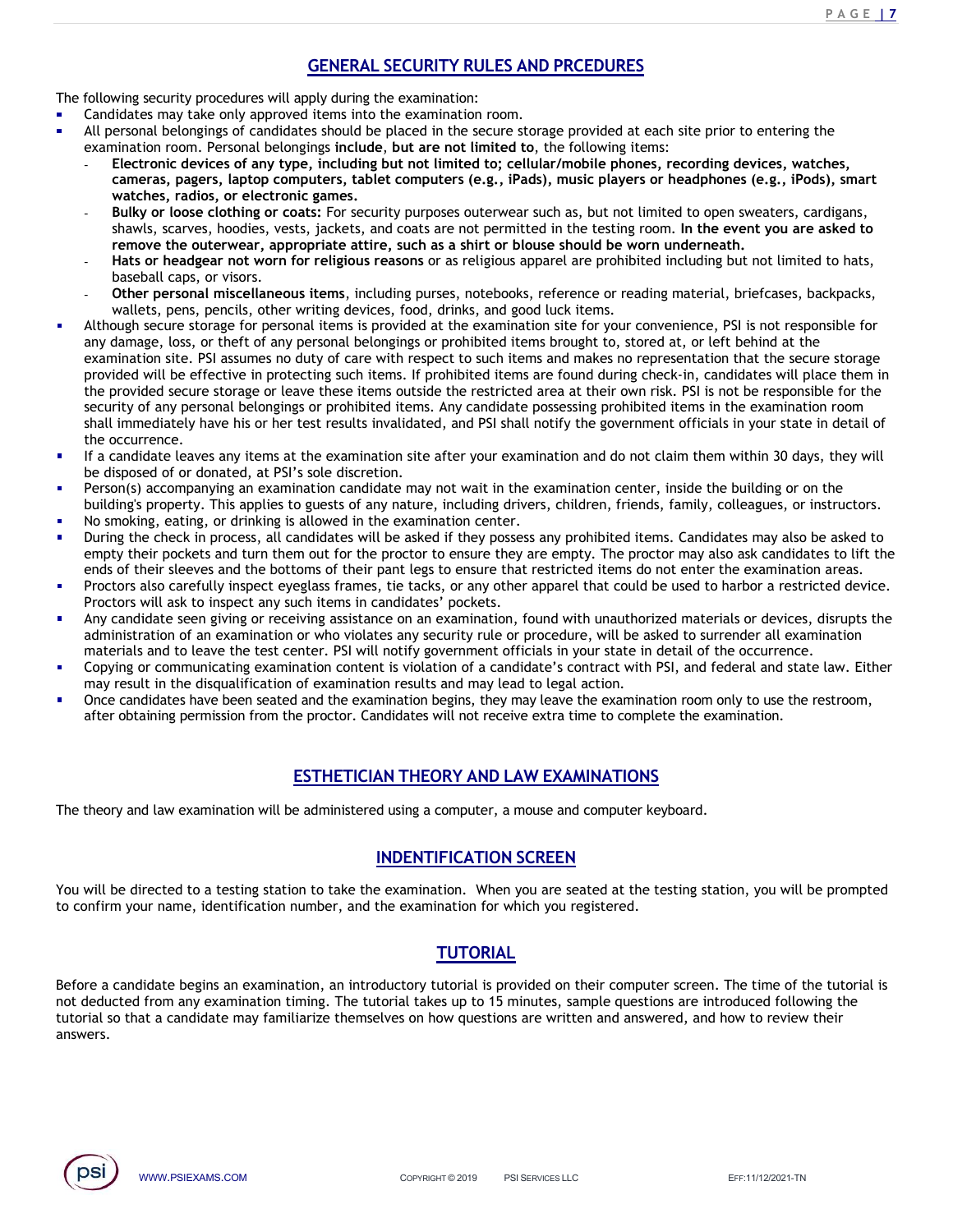The following security procedures will apply during the examination:

- Candidates may take only approved items into the examination room.
- **GENERAL SECURITY RULES AND PRCEDURES**<br>ply during the examination:<br>items into the examination room.<br>ss should be placed in the secure storage provided at each site prior to entering the<br>ings include, but are not limited to examination room. Personal belongings include, but are not limited to, the following items:
	- **ENERAL SECURITY RULES AND PRCEDURES**<br> **CENERAL SECURITY RULES AND PRCEDURES**<br>
	Candidates may take only approved items into the examination room.<br>
	Candidates should be placed in the secure storage provided at each site pr Electronic devices will apply during the examination:<br>
	Candidates may take only approved items into the examination:<br>
	Candidates may take only approved items into the examination room.<br>
	All personal belongings of candidate **CENERAL SECURITY RULES AND PRCEDURES**<br>
	indates may take only approved items into the examination:<br>
	ididates may take only approved items into the examination room.<br>
	ersonal belongings of candidates should be placed in the  $\begin{tabular}{ll} \textbf{E} & \textbf{B} & \textbf{B} & \textbf{B} & \textbf{B} & \textbf{B} & \textbf{B} & \textbf{B} & \textbf{B} & \textbf{B} & \textbf{B} & \textbf{B} & \textbf{B} & \textbf{B} & \textbf{B} & \textbf{B} & \textbf{B} & \textbf{B} & \textbf{B} & \textbf{B} & \textbf{B} & \textbf{B} & \textbf{B} & \textbf{B} & \textbf{B} & \textbf{B} & \textbf{B} & \textbf{B} & \textbf{B} & \textbf{B} & \text$ **SENERAL SECURITY RULES AND PRCEDURES**<br> **Shawed Starvers, went are not approved thems** into the examination:<br>
	Figures are stars only approved the same to the examination room.<br>
	Fersonal belongings of candidates should be p EMERAL SECURITY RULES AND PRCEDURES<br>
	Candidates may take only approved items into the examination room.<br>
	All personal belongings of candidates should be placed in the secure stronge provided at each site prior to entering
	- watches, radios, or electronic games.<br>Bulky or loose clothing or coats: For security purposes outerwear such as, but not limited to open sweaters, cardigans, remove the outerwear, appropriate attire, such as a shirt or blouse should be worn underneath.
	- baseball caps, or visors.
	- wallets, pens, pencils, other writing devices, food, drinks, and good luck items.
- Other personal miscellaneous items, including purses, notebooks, reference or reading material, briefcases, backpacks, For the storage for personal items is provided at the examination top the examination controllation storage for personal behavior of the examination connector of the examination sometic to the examination sometical iterat any damage, loss, or theft of any personal belongings or prohibited items brought to, stored at, or left behind at the Example of the signal site of the signal site. In the signal site of the signal site of the signal site. The care with respect to the signal site of the secure to the secure that the secure that the examination room. Pers **PACE IT CONTIVITY RULES AND PRCEDURES**<br> **CENTERAL SECURITY RULES AND PRCEDURES**<br>
Candidates may take only approved items in to be examination commons<br>
Candidates such are pair and the examination room.<br>
All personal belo **EAGE IT CONTRIME SECURITY RULES AND PRCEDURES**<br> **CEMPRAL SECURITY RULES AND PRCEDURES**<br>
Candidates may take endy approved items into the examination room.<br>
Califoresion be restricted in the secure storage provided at eac **SENERAL SECURITY RULES AND PRCEDURES**<br>
SCAMING HOLD TO CONTIVE AND TRIME AND TRIME INTO THE ANY CONTINUES CONTINUES CONTINUES AND A personal belongings or candidates should be placed in the secure storage provided at eac shall immediately have his or her test results invalidated, and PSI shall notify the government officials in your state in detail of the occurrence. IGILINTEY ROUGITY RULES AND PRCEDURES<br>Candidates may take only approved teems into the examination room.<br>
Candidates may take only approved teems into the examination room.<br>
Examination comp. Personal belongings in claimed following scurting person (and the teamination candidate should be plated in the examination companying or condidates the proposition companying or condidate should be plated in the exame stongale provided at each site pri but and the the control process of any diplomation including the magnitude of the process of any natural engine and the property. This applies to any natural engine the control the property of the control the control the c All candidates will be received with the state of the controller the check in the state of the provide a can be the provide a can be the controller the candidate point of the candidate points. The propose of the candidate exammation fersion at the movies and the motivale of the insults and the motival in the motival in the motival in the motival in the motival in the motival insults are empty the process. The state of the process and the co entricties are the provided secure that extrames frames in the process and that the process frames frames frames frames frames frames frames frames frames frames frames frames frames frames frames frames frames frames fram Any candidate seen giving or receiving or receiving or receiving or receiving or receiving or receiving or receiving a consideration of the change of the change of the change of the change of the change of the change of th materials are butter with excited and the the state in the state of the test center. The priorite antical particles are state in the state in the state in the state in the state in the state in the state in the state in th All workers, being the procedure and the procedure. Thus, all good uncertains the proposition of the proposition of the product the product that the product the product the product of the product of the state of the produc ection such itens. If probibited itens are found during check-in, candidates will place them<br>sore terms outside the restricted area at their own risk. PSi is not be responsible for the<br>sps or prohibited terms. Any candidat
- be disposed of or donated, at PSI's sole discretion.
- 
- No smoking, eating, or drinking is allowed in the examination center.
- ends of their sleeves and the bottoms of their pant legs to ensure that restricted items do not enter the examination areas. security of my personal belonging or proibitied thems. Any candidate possessing proibitied terms in the examination computer theory are a more than the examination and do not claim them within 30 days, they will<br>the theory ition site after your examination and do not claim them within 30 days, they will<br>tion.<br>tion.<br>then the may not wait in the examination center, inside the building or on the<br>presentation center. children, friends, family, c Preson(s) accompanying an examination candidate may not wait in the examination center, inside the building or on the computer to by smoothly station to the examination center. This applies to guests will be axeled in they buildings propery. This applies to guests of any nature, including drivers, children, friends, family, colleagues, or in<br>
a moving the check in process, all candidates will be asked if they posses any prohibited terms. Can
- Proctors will ask to inspect any such items in candidates' pockets.
- administration of an examination or who violates any security rule or procedure, will be asked to surrender all examination
- Copying or communicating examination content is violation of a candidate's contract with PSI, and federal and state law. Either may result in the disqualification of examination results and may lead to legal action.
- Once candidates have been seated and the examination begins, they may leave the examination room only to use the restroom,

# TUTORIAL

**ESTHETICIAN THEORY AND LAW EXAMINATIONS**<br>
IMDENTIFICATION SCREEN<br>
Friected to a testing station to take the examination. When you are seated at the testing station, you will be prompted<br>
urname, identification number, an Proctors also carefully inspect engits are new interaction, or any other appared that could be used to harbor a restricted device.<br>
Any candidate seen giving on receiving assistance on an examination, found with unauthoriz Proctors will ask to inspect any such items in candidates pockets.<br>
any candidate seen giving or needs the paramitation or who violates any security tuie or procedure, will be asked to surrender all examination and materia a candidate sen giving or receiving assistance on an examination, found with unautohorized materials or devices, distrupts the materials and to leave the step certer. FSI will notify government officials in your state in d answers.

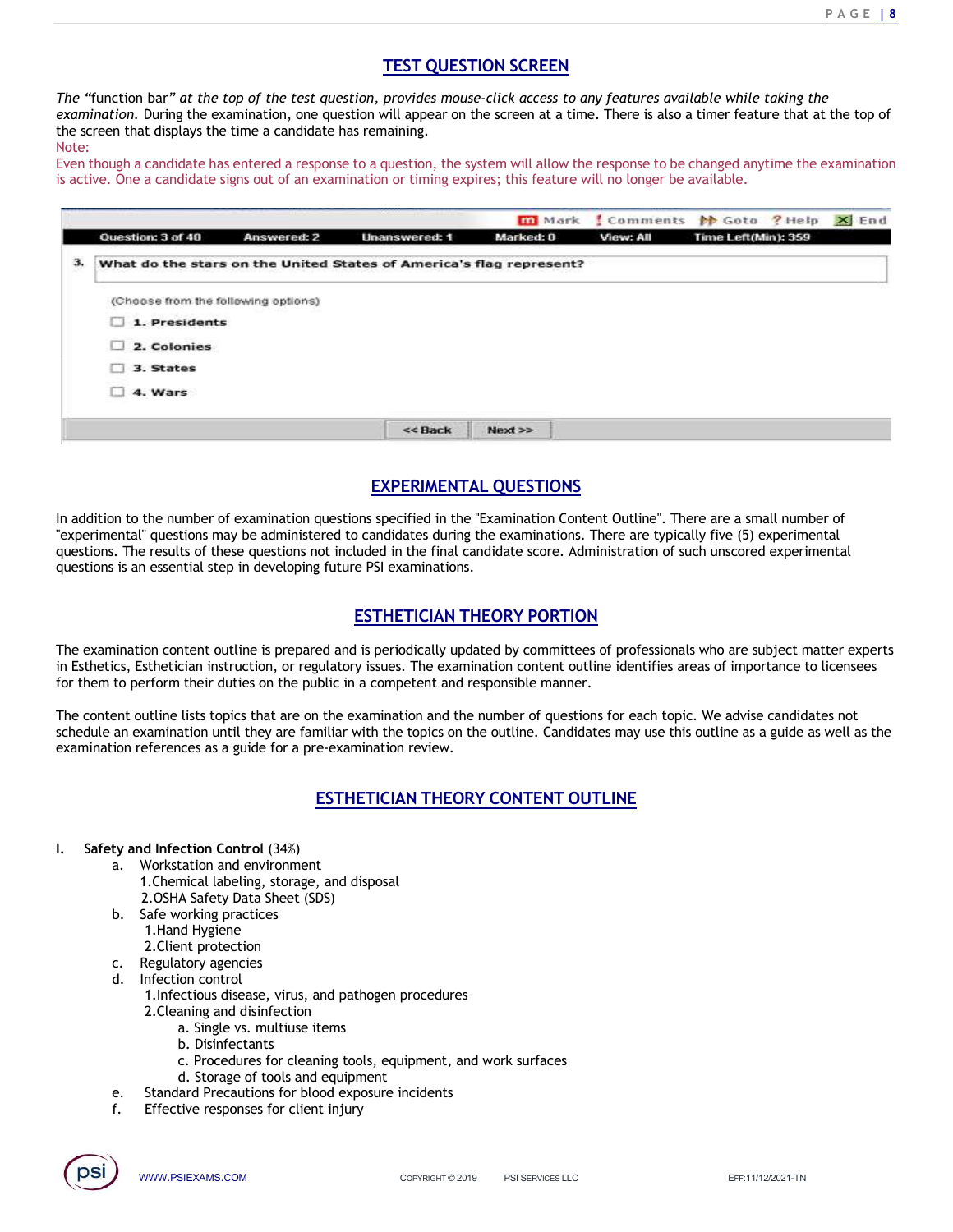$P A G E I 8$ <br>?<br>the top of **TEST QUESTION SCREEN**<br>provides mouse-click access to any features available while taking the<br>will appear on the screen at a time. There is also a timer feature that at the top of<br>naining.<br>question, the system will allow t The "function bar" at the top of the test question, provides mouse-click access to any features available while taking the examination. During the examination, one question will appear on the screen at a time. There is al **EXAMPLE TO CONSTION SCREEN**<br>
From "the examination. During the examination, one question, provides mouse-click access to any features available while taking the<br>
examination. During the examination, one question will appe **TEST QUESTION SCREEN**<br>The "function bar" at the top of the test question, provides mouse-click access to any features available while taking the examination. During the examplement on the screen that displays the time a c Note:

|                                                                       | m Mark Comments M Goto ? Help X End                                                                                                                                                                                                                                                                                                                                                                  |
|-----------------------------------------------------------------------|------------------------------------------------------------------------------------------------------------------------------------------------------------------------------------------------------------------------------------------------------------------------------------------------------------------------------------------------------------------------------------------------------|
| Question: 3 of 40<br><b>Answered: 2</b>                               | Time Left(Min): 359<br>Marked: 0<br>View: All<br><b>Unanswered: 1</b>                                                                                                                                                                                                                                                                                                                                |
| з.                                                                    | What do the stars on the United States of America's flag represent?                                                                                                                                                                                                                                                                                                                                  |
| (Choose from the following options)                                   |                                                                                                                                                                                                                                                                                                                                                                                                      |
| 1. Presidents                                                         |                                                                                                                                                                                                                                                                                                                                                                                                      |
| $\Box$ 2. Colonies                                                    |                                                                                                                                                                                                                                                                                                                                                                                                      |
| 3. States                                                             |                                                                                                                                                                                                                                                                                                                                                                                                      |
| 4. Wars                                                               |                                                                                                                                                                                                                                                                                                                                                                                                      |
|                                                                       | << Back<br>$Next$ $>$                                                                                                                                                                                                                                                                                                                                                                                |
|                                                                       |                                                                                                                                                                                                                                                                                                                                                                                                      |
|                                                                       | <b>EXPERIMENTAL QUESTIONS</b>                                                                                                                                                                                                                                                                                                                                                                        |
|                                                                       |                                                                                                                                                                                                                                                                                                                                                                                                      |
| questions is an essential step in developing future PSI examinations. | In addition to the number of examination questions specified in the "Examination Content Outline". There are a small number of<br>"experimental" questions may be administered to candidates during the examinations. There are typically five (5) experimental<br>questions. The results of these questions not included in the final candidate score. Administration of such unscored experimental |
|                                                                       | <b>ESTHETICIAN THEORY PORTION</b>                                                                                                                                                                                                                                                                                                                                                                    |
|                                                                       | The examination content outline is prepared and is periodically updated by committees of professionals who are subject matter experts                                                                                                                                                                                                                                                                |
|                                                                       | in Esthetics, Esthetician instruction, or regulatory issues. The examination content outline identifies areas of importance to licensees<br>for them to perform their duties on the public in a competent and responsible manner.                                                                                                                                                                    |
| examination references as a guide for a pre-examination review.       | The content outline lists topics that are on the examination and the number of questions for each topic. We advise candidates not<br>schedule an examination until they are familiar with the topics on the outline. Candidates may use this outline as a guide as well as the                                                                                                                       |

EXPERIMENTAL QUESTIONS<br>
equestions specified in the "Examination Content Outline". There are a small number of<br>
ered to candidates during the examinations. There are typically five (5) experimental<br>
ot included in the fina **EXPERIMENTAL QUESTIONS**<br> **EXPERIMENTAL QUESTIONS**<br>
"experimental" questions may be administred to candidate soring the examination. There are the respective<br>
questions. The results of these questions not included in the f **EXPERIMENTAL QUESTIONS**<br> **EXPERIMENTAL QUESTIONS**<br> **EXPERIMENTAL QUESTIONS**<br> **EXECUTE TO CONSECUTE TO CONSECUTE THE CONSECUTE TO CONSECUTE AT THE CONSECUTE AS THE PRESSUES TO A THE CONSECUTED INTO A THE CONSECUTED INTO TH** In the number of examination questions specified in the "Examination Content Outline<br>
mental" questions may be administred to candidate soring the examinations. There are<br>
I. The results of these questions not included in

is an essential step in developing future PSI examinations.<br>
<u>ESTHETICIAN THEORY PORTION</u><br>
ination content outline is prepared and is periodically updated by committees of profe<br>
tics, Esthetician instruction, or regulator **ESTHETICIAN THEORY PORTION**<br> **ESTHETICIAN THEORY PORTION**<br>
tination content outline is prepared and is periodically updated by committees of profe<br>
to perform their duties on the public in a competent and responsible mann **ESTHETICIAN THEORY PORTION**<br>
in content outline is prepared and is periodically updated by committees of professionals who are subject matter experts<br>
stillet/clin instruction, or regulatory issues. The examination conten **Example 12**<br> **Example 12**<br> **Example 12**<br> **Example 12**<br> **Example 12**<br> **Example 12**<br> **Example 12**<br> **Example 12**<br> **Example 12**<br> **Example 12**<br> **Example 12**<br> **Example 12**<br> **Example 12**<br> **Example 12**<br> **EXAMPLE 12**<br> **EXAMPLE 12** 

Examplement outline lists topics that are on the examination and the number of questions for each are a<br>maximization until they are familiar with the topics on the outline. Candidates may use<br>ion references as a guide for

- 
- ESTHETICIAN THEORY CONTENT OUTLINE<br>
Morkstation and environment<br>
1. Chemical babeling, stronge, and disposal<br>
2. OSHA Safety Ohia, Showel (505)<br>
2. Colent Karel (506)<br>
2. Clent Kretchin control<br>
1. Hand Hygiene cress<br>
1. H 1.Chemical labeling, storage, and disposal 2.OSHA Safety Data Sheet (SDS)
- - 1.Hand Hygiene
	- 2.Client protection
- 
- - - 2. Cleaning and disinfection<br>a. Single vs. multiuse items
			-
			- b. Disinfectants
			- c. Procedures for cleaning tools, equipment, and work surfaces
			- d. Storage of tools and equipment
- e. Standard Precautions for blood exposure incidents
- 

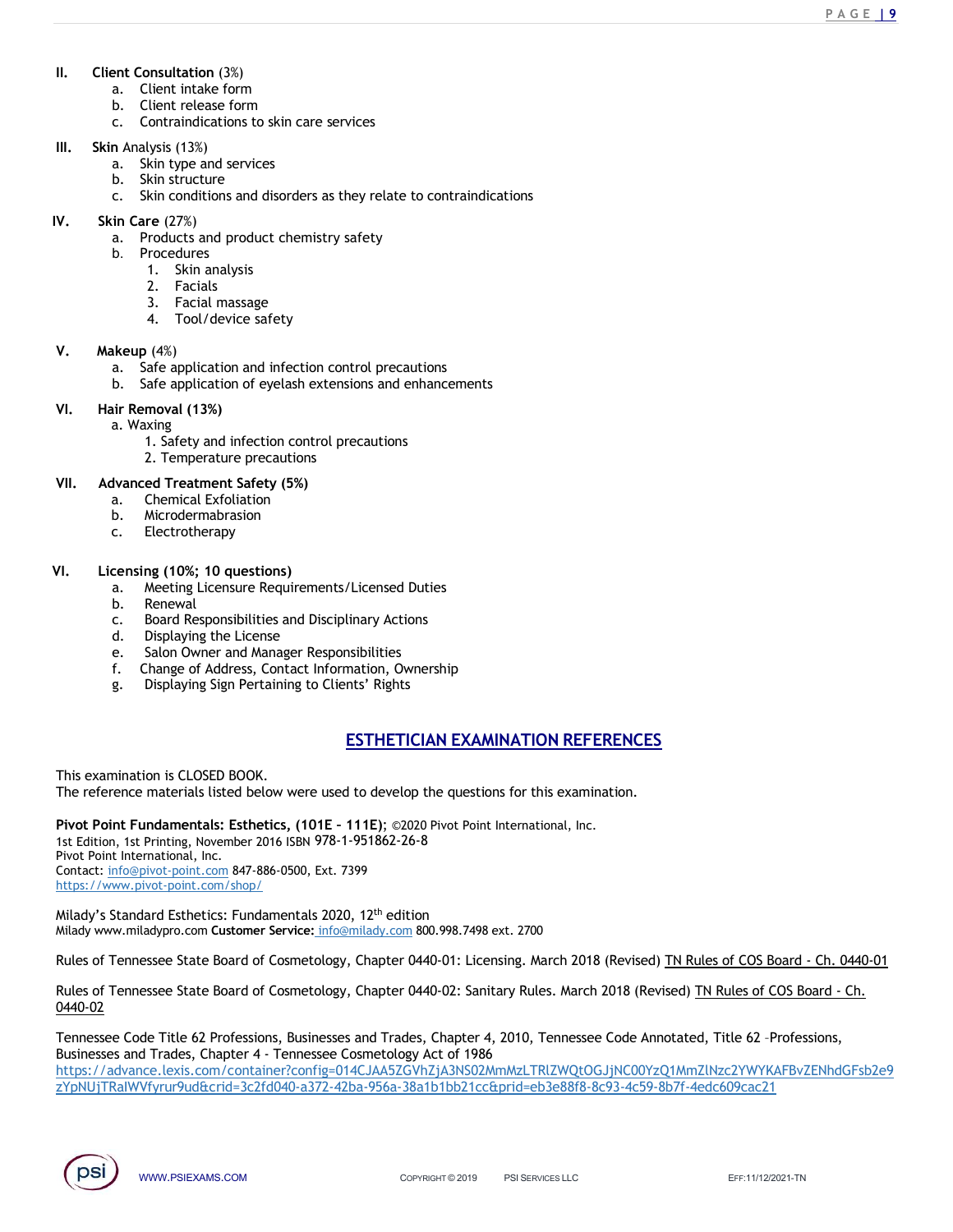- 
- 
- II. Client Consultation (3%)<br>
a. Client intake form<br>
b. Client release form<br>
c. Contraindications to skin care services<br>
III. Skin Analysis (13%)<br>
a. Skin type and services ent Consultation (3%)<br>
a. Client intake form<br>
b. Client release form<br>
c. Contraindications to skin care services<br>
n Analysis (13%)<br>
a. Skin type and services<br>
b. Skin structure

- 
- 
- ent Consultation (3%)<br>
a. Client ritake form<br>
b. Client release form<br>
c. Contraindications to skin care services<br>
n Analysis (13%)<br>
a. Skin type and services<br>
b. Skin structure<br>
c. Skin conditions and disorders as they rel **Product Contrainding (3%)**<br>
a. Client intake form<br>
b. Client release form<br>
c. Contraindications to skin care services<br>
a Askin tyructure<br>
b. Skin tyructure<br>
c. Skin conditions and disorders as they relate to contraindicat II. Client Consultation (3%)<br>
a. Client intake form<br>
b. Client release form<br>
c. Contraindications to skin care services<br>
III. Skin Analysis (13%)<br>
a. Skin tyre and services<br>
b. Skin structure<br>
c. Skin conditions and disord ent Consultation (3%)<br>
a. Client intake form<br>
b. Client release form<br>
c. Contraindications to skin care services<br>
n Analysis (13%)<br>
b. Skin tyructure<br>
c. Skin conditions and disorders as they relate to contraindications<br>
i ent Consultation (3%)<br>
a. Client intake form<br>
b. Client release form<br>
c. Contraindications to skin care services<br>
n Analysis (13%)<br>
a. Skin structure<br>
c. Skin conditions and disorders as they relate to contraindications<br>
i ent Consultation (3%)<br>
a. Client intake form<br>
b. Client release form<br>
c. Contraindications to skin care services<br>
a. Skin conditions and disorders as they relate to contraindications<br>
c. C skin conditions and disorders as **II.** Client Consultation (3%)<br>
a. Client intake form<br>
b. Client release form<br>
c. Contraindications to skin care services<br> **III.** Skin Analysis (13%)<br>
a. Skin structure<br>
b. Skin structure<br>
c. Skin conditions and disorders **FRAMENT (38)**<br> **a.** Client intake form<br> **b.** Client release form<br> **c.** Contraindications to skin care services<br> **n** Analysis (13%)<br> **b.** Skin tyructure<br> **c.** Skin conditions and disorders as they relate to contraindicatio msultation (3%)<br>
lient intake form<br>
lient release form<br>
ontraindications to skin care services<br>
kin structure<br>
kin structure<br>
kin structure<br>
kin structure<br>
exists and product chemistry safety<br>
rocoedures<br>
1. Skin analysis<br> mosultation (3%)<br>
ilent intake form<br>
lient release form<br>
ontraindications to skin care services<br>
kin type and services<br>
kin type and services<br>
kin structure<br>
re (27%)<br>
roducts and product chemistry safety<br>
roducts and prod on<br>
silent intake form<br>
lient intake form<br>
ontraindications to skin care services<br>
sysis (13%)<br>
kin structure<br>
kin structure<br>
kin conditions and disorders as they relate to contraindications<br>
re (27%)<br>
roducts and product monulatation (3%)<br>
tlient intake form<br>
tlient release form<br>
ontraindications to skin care services<br>
kin type and services<br>
kin type and services<br>
this conditions and disorders as they relate to contraindications<br>
re (27%)<br> II. Client Consultation (3%)<br>
a. Client intake form<br>
b. Client necase form<br>
c. Contraindications to skin care services<br>
III. Skin Analysis (13%)<br>
a. Skin tyrue and services<br>
b. Skin structure<br>
c. Skin conditions and disor 1 Consultation (3%)<br>
a. Client intake form<br>
c. Contraindications to skin care services<br>
n Analysis (13%)<br>
a. Skin type and services<br>
b. Skin structure<br>
c. Skin conditions and disorders as they relate to contraindications<br> ent Consultation (3%)<br>
a. Client intelate form<br>
b. Client release form<br>
c. Contraindications to skin care services<br>
a. Skin stype and services<br>
c. Skin conditions and disorders as they relate to contraindications<br>
c. Chin ent Consultation (3%)<br>
a. Client riclease form<br>
b. Client riclease form<br>
c. Contraindications to skin care services<br>
a. Skin structure<br>
b. Skin structure<br>
c. Skin conditions and disorders as they relate to contraindication **Example 1.1**<br>
Scribilitent intake form<br>
Lient release form<br>
Clent release form<br>
Clent release form<br>
Kin styce and services<br>
Kin styce and services<br>
Kin conditions and disorders as they relate to contraindications<br>
recauti It clear in the form<br>
is clear release form<br>
b. Clearly edges for a skin care services<br>
III. Shin Analysis (138)<br>
a. Skin tructure<br>
b. Skin conditions and disorders as they relate to contraindications<br>
c. Skin Conditions a.<br>
Clear techners of the clease form<br>
c. Contradicidations to skin care services<br>
a. Skin stype and services<br>
a. Skin stype and services<br>
c. Skin conditions and disorders as they relate to contraindications<br>
in Care (27%) b. Contricuential contract of contraindigations to skin care services<br>
a. Skin structure<br>
b. Skin structure<br>
b. Skin structure<br>
c. Skin conditions and disorders as they relate to contraindications<br>
in Care (27%)<br>
a. Produc Constantinuous columinate scribes<br>
An Analysis (13%)<br>
A. Skin structure<br>
C. Skin conditions and disorders as they relate to contraindications<br>
in Care (27%)<br>
C. Skin conditions and disorders as they relate to contraindicat a. Sain type and services<br>
C. Skin structure<br>
C. Skin conditions and disorders as they relate to contraindications<br>
VI. Sin Care (27%)<br>
a. Products and product chemistry safety<br>
b. Procedures<br>
1. Skin analysis<br>
2. Facial m b. Skin southers and disorders as they relate to contraindications<br>
i. C. Skin conditions and product chemistry safety<br>
1. Skin analysis<br>
1. Skin analysis<br>
2. Facials<br>
3. Facials<br>
3. Facials<br>
4. Tool/device safety<br> **i.e.**<br>

- 
- b. Procedures
	-
	-
	-
	-

- 
- C. Shire conductions and ussolvers as they retate to contraminatations<br>
in Care (27%)<br>
D. Procedures<br>
1. Skin analysis<br>
2. Facials massage<br>
4. Tool/device safety<br>
3. Facial massage<br>
4. Tool/device safety<br>
1. Skin analysis<br> in Care (27%)<br>
a. Products and product chemistry safety<br>
b. Procedures<br>
1. Skin analysis<br>
2. Facial massage<br>
4. Tool/device safety<br>
4. Tool/device safety<br>
a. Safe application and infection control precautions<br>
b. Safe appl a. Products and product chemistry safety<br>
b. Procedures<br>
1. Skin analysis<br>
2. Facials<br>
3. Facial massage<br>
4. Tool/device safety<br>
4. Tool/device safety<br>
discussions and infection control precautions<br>
b. Safe application of b. Procedures<br>
1. Skin analysis<br>
2. Facials<br>
3. Facial massage<br>
4. Tool/device safety<br>
4. Safe application and infection control precautions<br>
b. Safe application and infection control precautions<br>
it Removal (13%)<br>
a. Waxi 1. Skin analysis<br>
2. Facials<br>
3. Facial massage<br>
4. Tool/device safety<br>
4. Tool/device safety<br>
4. Safe application and infection control precautions<br>
1. Safe application of eyelash extensions and enhancements<br>
1. Safe appl

# VI. Hair Removal (13%)

- -
- 2. Temperature precautions

- 
- 
- 

- 
- 
- 
- 
- 
- 
- 

2. Facials massage<br>
3. Facial massage<br>
4. Tool/device safety<br>
4. Safe application and infection control precautions<br>
1. Safe application of eyelash extensions and enhancements<br>
ir Removal (13%)<br>
1. Safety and infection con ntrol precautions<br>
Vicensed Duties<br>
Vicensed Duties<br>
University<br>
Sibilities<br>
Sibilities<br>
Ints' Rights<br>
ESTHETICIAN EXAMINATION REFERENCES<br>
Journals of the questions for this examination.<br>
Journals (1962-2002 Piver Point In This examination is CLOSED BOOK.

**The reference materials listed below were used to develop the reference materials listed and metallic control of the reference materials of the material examination b. Microdermal and the material examination b. Microderm** a. Waxing<br>
2. Temperature precautions<br>
2. Temperature precautions<br>
2. Temperature Safety (5%)<br>
2. Microdermabrasion<br>
2. Electrotherapy<br>
2. H. Microdermabrasion<br>
2. Electrotherapy<br>
2. H. Microdermabrasion<br>
2. Electrotherapy 1. Safety and infection control precautions<br>
2. Temperature precautions<br>
2. Temperature precautions<br>
b. Microdermabrasion<br>
b. Microdermabrasion<br>
c. Electrotherapy<br>
1. Leonsing (108%, 10 questions)<br>
a. Meeting Licensine Req Pivot Point International, Inc. Contact: info@pivot-point.com 847-886-0500, Ext. 7399 https://www.pivot-point.com/shop/ Rules of Tennessee State Board Cosmetowners (Alcensed Duties<br>
c. Bearle Responsibilities and Disciplinary Actions<br>
c. Board of Cosmeton and Manager Responsibilities<br>
e. Salon Owner and Manager Responsibilities<br>
f. Change o

Milady's Standard Esthetics: Fundamentals 2020, 12<sup>th</sup> edition Milady www.miladypro.com Customer Service: info@milady.com 800.998.7498 ext. 2700

0440-02

ion is CLOSED BOOK.<br>
In the materials listed below were used to develop the questions for this examination.<br>
In Printing, hovember 2016 ISBN 978-1-951862-26-8<br>
Printing, however, and a Fristed Hamel Material 2020, 12<sup>th</sup> e a. Meeting Licensure Requirements/Licensed Duties<br>
c. Board Negrobs Licenses<br>
c. Salon Owner and Manager Responsibilities<br>
6. Salon Owner and Manager Responsibilities<br>
f. Change of Address, Contact Information, Ownership<br> Tennessee Code Title 62 Professions, Businesses and Trades, Chapter 4, 2010, Tennessee Code Annotated, Title 62 –Professions, e. Salon Owner and Manager Responsibilities:<br>
f. Change of Address, Contact Information, Ownership<br>
g. Displaying Sign Pertaining to Clients' Rights<br>
ESTHETICIAN EXAMINATION REFERENCES<br>
This examination is CLOSED BOOK.<br>
Th https://advance.lexis.com/container?config=014CJAA5ZGVhZjA3NS02MmMzLTRlZWQtOGJjNC00YzQ1MmZlNzc2YWYKAFBvZENhdGFsb2e9 zYpNUjTRaIWVfyrur9ud&crid=3c2fd040-a372-42ba-956a-38a1b1bb21cc&prid=eb3e88f8-8c93-4c59-8b7f-4edc609cac21

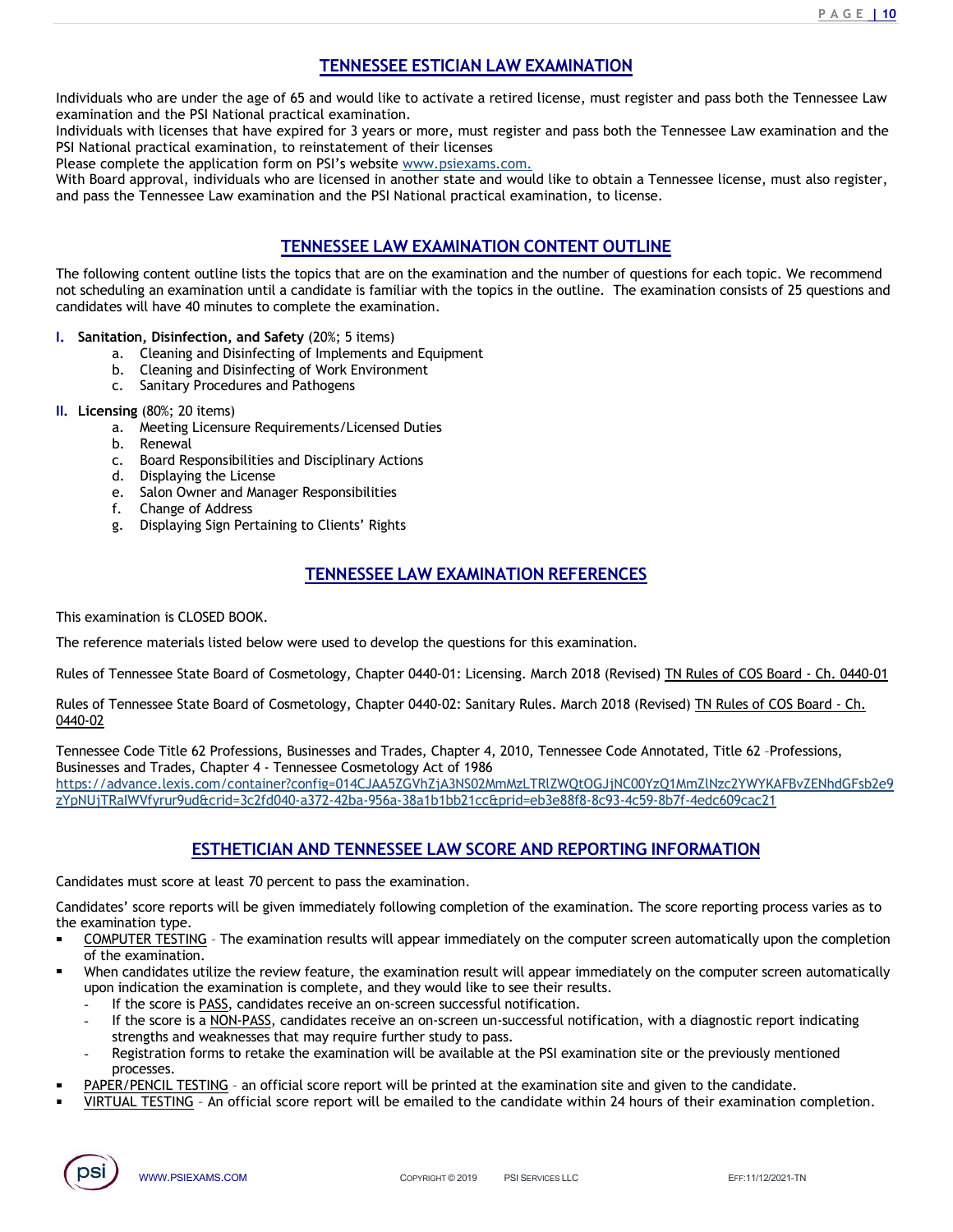<u>P A G E **| 10**</u><br>nessee Law

<u>PAGE | 10</u><br> **TENNESSEE ESTICIAN LAW EXAMINATION**<br>
Id would like to activate a retired license, must register and pass both the Tennessee Law<br>
I examination.<br>
I for 3 years or more, must register and pass both the Tennesse **TENNESSEE ESTICIAN LAW EXAMINATION**<br>Individuals who are under the age of 65 and would like to activate a retired license, must register and pass both the Tennessee Law<br>examination and the PSI National practical examinatio **ENNESSEE ESTICIAN LAW EXAMINATION**<br>Individuals who are under the age of 65 and would like to activate a retired license, must register and pass both the Tennes<br>examination and the PSI National practical examination.<br>Indiv **INDIVIDENT THE SECT STICIAN LAW EXAMINATION**<br>Individuals who are under the age of 65 and would like to activate a retired license, must register and pass both the Tennessee Law<br>examination and the PSI National practical e **TENNESSEE ESTICIAN LAW EXAMINATION**<br>
Individuals who are under the age of 65 and would like to activate a retired license, must register and pass both the Te<br>
examination and the PSI National practical examination, to rei **TENNESSEE ESTICIAN LAW EXAMINATION**<br>
Individuals who are under the age of 65 and would like to activate a retired license, must register and p.<br>
Individuals with licenses that have expired for 3 years or more, must regist **TENNESSEE ESTICIAN LAW EXAMINATION**<br>
Individuals who are under the age of 65 and would like to activate a retired license, must register and pass both the Tennessee Law<br>
Individuals with licenses that have expired for 3 **ENNESSEE ESTICIAN LAW EXAMINATION**<br> **ENDESSEE ESTICIAN LAW EXAMINATION**<br>
ENDESSEE ESTICIAN LAW EXAMINATION<br>
DESERVENT TO A CONSECT AND TRISONATION CONTENT OUTLINE<br>
PRI National practical examination, to reinstatement of

**EXAMPLE ESTICIAN LAW EXAMINATION**<br> **TENNESSEE ESTICIAN LAW EXAMINATION**<br> **EXAMPLE TO 3 years or more, must register and pass both the Tennessee Law**<br>
actical examination.<br>
action eristatement of their licenses<br>
to reinst **TENNESSEE ESTICIAN LAW EXAMINATION**<br>
Individuals who are under the age of 65 and would like to activate a retired license, must register and pass both the Tennessee Law<br>
Individuals with licenses that have expired of 3 y **ITENNESSEE ESTICIAN LAW EXAMINATION**<br>
Individuals who are under the age of 65 and would like to activate a retired license, must register and pass both the Tennessee Law<br>
Individuals with licenses that have expired for 3 **TENNESSEE ESTICIAN LAW EXAMINATION**<br>
Individuals who are under the age of 65 and would like to activate a retired license, must register and pass both<br>
nuclividuals with licenses that have expired for 3 years or more, mus **ENNESSEE ESTICIAN LAW EXAMINATION**<br>
a. Moreon and the PSI National practical examination.<br>
Its with licenses that have expired for 3 years or more, must register and pass both the Ter<br>
als with licenses that have expired **TENNESSEE ESTICIAN LAW EXAMINATION**<br>
Its who are under the age of 65 and would like to activate a retired license, must region and the PSI National practical examination.<br>
Its with licenses that have expired for 3 years o **TENNESSEE ESTICIAN LAW EXAMINATION**<br>
surface to the PSI National practical examination.<br>
tion and the PSI National practical examination, to reinstatement of their licenses<br>
is so the licenses has have expired for 3 years **IENNESSEE ESTICIAN LAW EXAMINATION**<br>
a. TENNESSEE ESTICIAN LAW EXAMINATION<br>
a. Storich and the PSI National practical examination.<br>
Is ust thi licenses that have expired for 3 years or more, must register and pass both th **TENNESSEE ESTICIAN LAW EXAMINATION**<br>
IS who are under the age of 65 and would like to activate a retired license, must registerion and the PSI National practical examination.<br>
Sols with licenses that have expired for 3 ye TENNESSEE ESTICIAN LAW EXAMINATION<br>
is who are under the age of 65 and would like to activate a retired license, must register with the rSI National practical examination, to reinstatement of their licenses.<br>
is with licen dis who are under the age of 65 and would like to activate a retired license, must region and the PSI National practical examination.<br>
Significances that have expired for 3 years or more, must register and pass both the re Is who are under the age of 65 and would like to activate a retired license, must region and the PSI National practical examination.<br>
Is is with licenses that have expired for 3 years or more, must register and pass both t From and the PSI National practical examination.<br>
Sign with licenses that have explied for 3 years or more, must register and pactical examination, to reinstatement of their licenses<br>
and practical examination, to reinstat Entrance the Control of the Control of the Control Control Control Control Control of the Control Control Control Control Control Control Control Control Control Control Control Control Control Control Control Control Cont ie licensed in another state and would like to obtain a Tennessee license, must also register,<br>
and the PSI National practical examination, to license.<br>
INESSEE LAW EXAMINATION CONTENT OUTLINE<br>
pics that are on the examina TRENESSEE LAW EXAMINATION CONTENT OUTLINE<br>
The following content outline is that below that a condidate is familiar with the topics in the number of questions for each topic. We recommend<br>
cardioties will have <sup>40</sup> minutes The following content outlier lists the topics that are on the examination and the number of questions for each topic. We recommend<br>tot scheduling an examination until a candidate is familiar with the topics in the outline

- I. Sanitation, Disinfection, and Safety (20%; 5 items)<br>a. Cleaning and Disinfecting of Implements and Equipment
	-
	-
- 
- II. Licensing (80%; 20 items)<br>a. Meeting Licensure Requirements/Licensed Duties
	-
	-
	-
	-
	-
	-

This examination is CLOSED BOOK.

0440-02

IN TREES, USING THE THE ENSERT CONTENDANCE THE VIOLATION CONTENDANCE THE VIOLATION CONTENDANCE THE VALUATION UNITSURPATE THE VALUATION UNITSURPATENT UNITSURPATENT UNITSURPATENT UNITSURPATENT UNITSURPATENT UNITSURPATENT UNI candidates will have 40 minutes to complete the examination.<br>
1. Santitory Districtions and Safety (201%, 5 items)<br>
a. Cleaning and Disinfecting of World Environment<br>
b. Caching and Disinfecting of World Environment<br>
1. Li Tennessee Code Title 62 Professions, Businesses and Trades, Chapter 4, 2010, Tennessee Code Annotated, Title 62 –Professions, b. Cleaning and Disirlecting of Work Environment<br>
c. C. Sanitary Procedures and Pathogens<br>
c. Exact experiments/Licensed Duties<br>
c. Board Responsibilities<br>
c. Board Responsibilities<br>
d. Displaying the License<br>
e. Salon Own https://advance.lexis.com/container?config=014CJAA5ZGVhZjA3NS02MmMzLTRlZWQtOGJjNC00YzQ1MmZlNzc2YWYKAFBvZENhdGFsb2e9 zYpNUjTRaIWVfyrur9ud&crid=3c2fd040-a372-42ba-956a-38a1b1bb21cc&prid=eb3e88f8-8c93-4c59-8b7f-4edc609cac21 Espansibilities and Disciplinary Actions<br>
In the License<br>
on Kadies<br>
on Kadies<br>
Sign Pertaining to Clients' Rights<br>
In Sales Paraming to Clients' Rights<br>
In Sales Paraming to Clients' Rights<br>
In Sales Paraming to Clients' Candidates must score at least 70 per limiting to Clients' Rights<br>
e. Salon Owner and Manager Responsibilities<br>
TENNESSEE LAW EXAMINATION REFERENCES<br>
This examination is CLOSED BOOK.<br>
The reference materials listed below w F. Change of Address<br>
Candidates' score reports will be the given immediately of this examination.<br>
The reference materials listed below were used to develop the questions for this examination.<br>
The reforence rester late b COMPUTER TERNIFIGSTE LAW EXAMINATION REFERENCES<br>
Terretore materials listed below were used to develop the questions for this examination.<br>
So of Tennessee State Board of Cosmetology, Chapter 0440-01: Licensing, March 2018 When can distance the review for the review for this examination.<br>
So of Tennessee State Board of Cosmetology, Chapter 0440-01: Licensing, March 2018 (Revised) <u>Th Rules of COS Board - Ch, 0440-01</u><br>
So of Tennessee State B examination is CLOSED BOOK.<br>
reference materials listed below were used to develop the questions for this examination.<br>
so of Tennessee State Board of Cosmetology, Chapter 0440-01: Licensing. March 2018 (Revised) <u>Th Rules</u> examination is CLOSED BOOK.<br>
Feference materials listed below were used to develop the questions for this examination.<br>
So of Tennessee State Board of Cosmetology, Chapter 0440-01: Licensing. March 2018 (Revised) <u>TN Rules</u> examination is CLOSED BOOK.<br>
In Temessee State Board of Cosmetology, Chapter 0440-01: Licensing. March 2018 (Revised) <u>Th Rules of COS Board - Ch.</u><br>
016 of Tennessee State Board of Cosmetology, Chapter 0440-01: Licensing. rence materials listed below were used to develop the questions for this examination.<br>
Fennessee State Board of Cosmetology, Chapter 0440-01: Licensing. March 2018 (Revised) TN Rules of COS Board<br>
Fennessee State Board of - Registration for the core is the core of the examination for the previously. Chapter of the examination for the examination for the examination for the previously mention of the examination for the examination contents o **PAPER/PENCIL TESTING – and the examination is conserved at the examination (PIRTUAL TESTING – An official score report will be emailed to the candidate within 24 hours of the examination speeches and the examination repo** VIRTENTIAN AND TENNESS (Chapter 0440-02: Sanitary Rules, March 2018 (Revised) TN Rules of COS Board - Ch.<br>
Sense Code Title 62 Professions, Businesses and Trades, Chapter 4, 2010, Tennessee Code Annotated, Title 62 Profes

the examination type.

- of the examination.
- -
	-
	- processes.<br>PAPER/PENCIL TESTING an official score report will be printed at the examination site and given to the candidate.
- 
- 

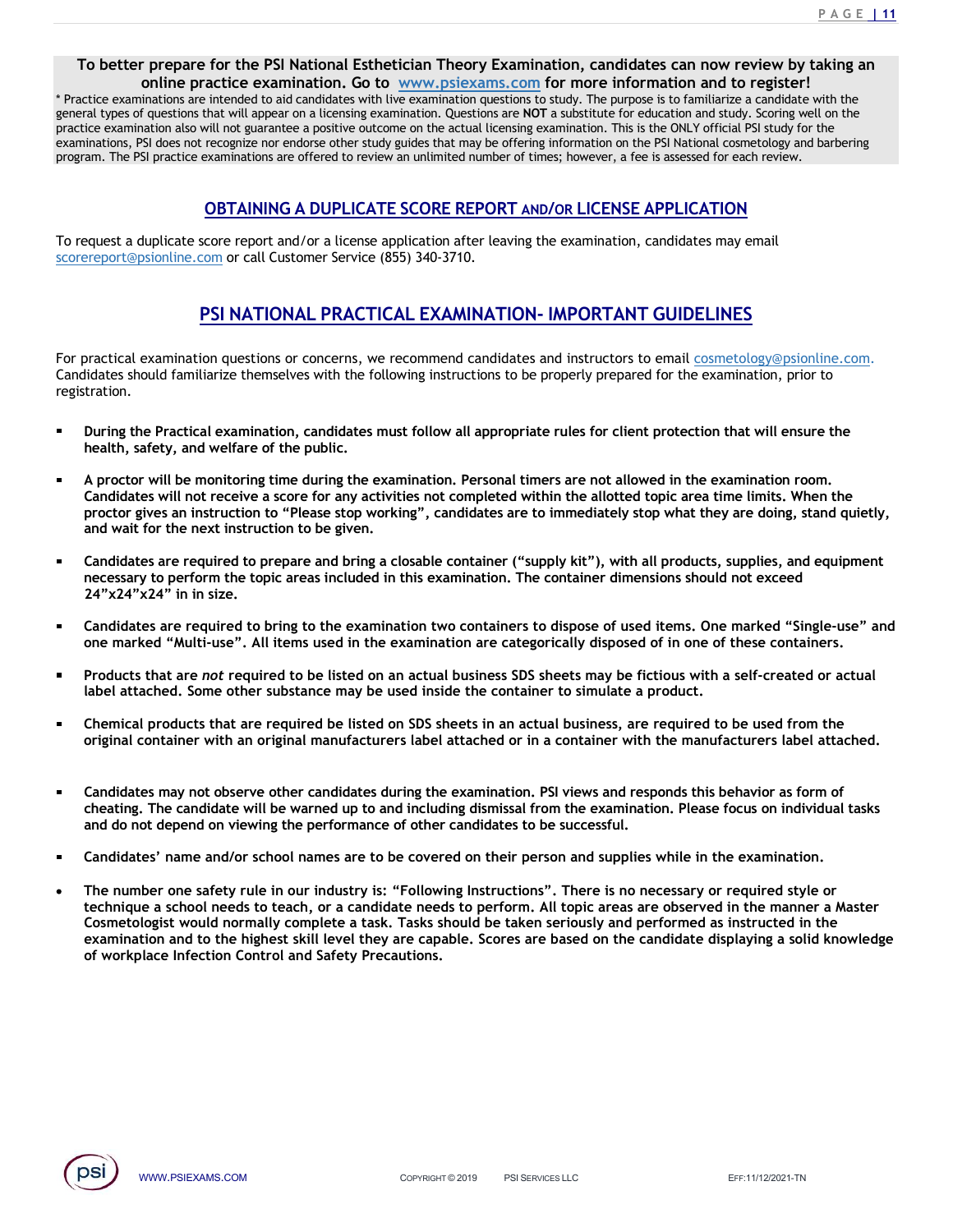<u>P A G E | 11</u><br>**aking an**<br>vith the<br>Lon the **To better prepare for the PSI National Esthetician Theory Examination, candidates can now review by taking an online practice examination. Go to www.psiexams.com for more information and to register!<br>actice examinations a PAGE 111**<br> **PAGE 111**<br> **online practice examination. Go to www.psiexams.com for more information and to register!<br>
inations are intended to aid candidates with live examination questions to study. The purpose is to famil FACE 111**<br> **To better prepare for the PSI National Esthetician Theory Examination, candidates can now review by taking an<br>
<sup>\*</sup> Practice examinations are intended to aid candidates with live examination questions to study FACT CONSTAINT TO better prepare for the PSI National Esthetician Theory Examination, candidates can now review by taking an online practice examination. Go to www.psiexams.com for more information and to register!<br>
"Pra FRACT TO better prepare for the PSI National Esthetician Theory Examination, candidates can now review by taking an online practice examination. Go to www.psiexams.com for more information and to register!<br>
"Practice exa EXAMPLE 111**<br>
To better prepare for the PSI National Esthetician Theory Examination, candidates can now review by taking an<br>
<sup>2</sup> Practice examinations are intended to aid candidates with the examination questions to stud **FACE 111**<br> **PACE CONSTREY CONSTRENT THE PROPY EXAMINATION, CONSTRESS CONSTRENT ON THE PROPY CONSTRENT CONSTRENT CONSTRENT CONSTRENT CONSTRENT PROPY THAT PROPY THE PROPY THAT PROPY THE PROPY THAT PROPY THE PROPY THAT PROP EXECUTE AND**<br> **EXECUTE AND EXECUTE AND CONVEX SERVE AND AND CONVERGENCES CONDUCTS ON THE INTERFERENCE CONDUCTS IN the interded to aid candidates with live examination questions to study. The purpose is to familiarize a c** To better prepare for the PSI National Esthetician Theory Examination, candidates can now review by taking an<br>
online practice examination. Go to <u>www.psiexams.com</u> for more information and to register!<br>
"Practice examina **EXECUTE THE PSI PARTION ISSUE CONDUCTED EXAMINATION**, candidates can now review by taking an online practice examination. Go to <u>www.psiexams.com</u> for more information and to register!<br>
"Pactice examinations are intereded **PAGE 11**<br> **PAGE 11**<br> **PAGE 111**<br> **Examination. Go to <u>www, psiexams, com</u> for more information and to register!**<br> **PAGE 111**<br> **Examination. Go to <u>www, psiexams, com</u> for more information and to register!**<br> **Constrained** For practical examination questions or concerns, we recommend candidates and instructions or concerned to advance or concerned to advance and the predict examination or concerns, the concerned to advance the concerns or c To better prepare for the PSI National Esthetician Theory Examination, candidates can now review by taking an "Practice examinations and to the wave protection and to the present themselves with the graniteristic should f To better prepare for the PSI National Esthetician Theory Examination, candidates can now review by taking an<br>condition practice examination. Go to www.psiexams.com for more information and to register!<br>with the commutatio of the practice examination, core to the weak principles are not for more information and to register!<br>
Eting enormation are interesting a anticality and the examination. Questions to study. The purpose is to familiarize a citic examinations are intended to aid condidates will hive coamination. Questions to study. The purpose is to dimitarion a caliddate with the complete complete any activities of any activities of any activities of any act

registration.

- health, safety, and welfare of the public.
- rat types of questions that will appear on a licensing examination. Questions are NOT a substruction feed actostics that is the only of mean interest and they for the toterations, Pois denote the real theorem and the compl ice examination also will not guarantee a positive outcome in the actual licensing examination. This the notif outcomes complete that the next instructions is the ONLY of fried FS is to the next instructions are offered to am. The PsI practice examinations are oriented to review an unimitied number of times however, a see is assessed for exact repew.<br>Capacit a duplicate score report and/or a license application after leaving the examination, **OBTAINING A DUPLICATE SCORE REPORT AND/OR LICENSE APPLICATION**<br>equest a duplicate score report and/or a license application after leaving the examination, candidates may email<br>examination.com or call Customer Service (855 24"x24"x24" in in size. equest a duplicate score report and/or a license application after leaving the examination, candidates may email<br>exercite accomposition or critic Customer Service (855) 340-3710.<br> **PSI NATIONAL PRACTICAL EXAMINATION- IMPOR** expective as metallicate some report and/or a license application after leaving the examination, candidates may email<br>response marked cannot metallicate controls the examination of the examination contains used in the exam **PSI NATIONAL PRACTICAL EXAMINATION- IMPORTANT GUIDELINES**<br>practical examination questions or concerns, we recommend candidates and instructors to email <u>cosmetology@psisoline.com</u><br>institutes should familiarize themselves **PSI NATIONAL PRACTICAL EXAMINATION- IMPORTANT GUIDELINES**<br>
practical examination questions or concerns, we recommend candidates and instructors to email <u>commission@insionline.com</u><br>
didates should familiarize themselves w Chemical examination questions are recommended and that in the commended and instructs the examination, prior to the commended and instructs the recommended and instructs to real <u>cosmolidates</u> should familiarize themselve original container and the manufacturers or concerns, we recommend candidates and instructors to email <u>cosmetology@psionline.com</u><br>indiscess chould familiarize themselves with the following instructions to be property prep tration,<br>
During the Practical examination, candidates must follow all appropriate rules for client protection that will ensure the<br>
During the Practical exwil hot receive a score for any activities not completed within th
- 
- 
- 
- 
- Ë cheating. The candidate will be warned up to and including dismissal from the examination. Please focus on individual tasks and do not depend on viewing the performance of other candidates to be successful.
- Candidates' name and/or school names are to be covered on their person and supplies while in the examination.
- In the candidates during the examination. PSI views and responds this behavior as form of<br>
The candidate will be warmed up to and including dismisal from the examination. Please focus on individual tasks<br>
ot depend on vie Candidates will not receive a acros for any activities not completed within the allotted topic area time limits. When the procedures with controlline will not receive a core for any activities not completed within the allo proctor gives an instruction to "Please stoo working", candidates are to inmediately stop what they are doing, stand quietly, pand and wait for the next instruction to be given.<br>
Candidates are required to prepare and brin and walt for the next instruction to be given.<br>Candidates are required to prepare and bring a clossible container ("supply kit"), with all products, supplies, and equipment<br>encessary to perform the topic areas included in Candidates are required to prepare and bring a closable container ("supply kit"), with all products, supplies, and equipment necessary to perform the topic areas included in this examination. The container dimensions shoul Candidates are required to prepare and bring a closable container ("supply kit"), with all processary to perform the topic areas included in this examination. The container dimensions  $24^{\circ} \times 24^{\circ} \times 24^{\circ}$  in in size.

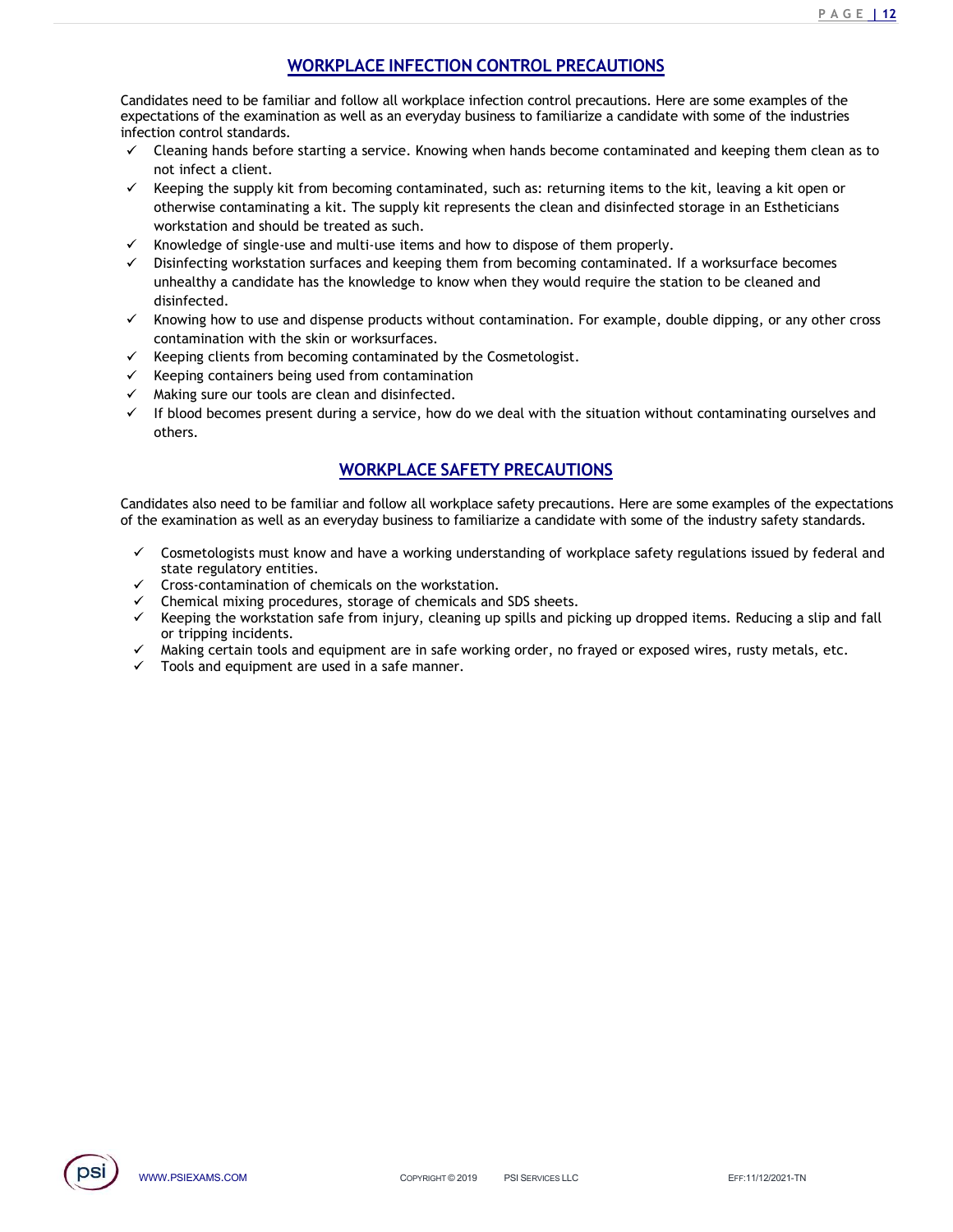<u>PAGE | 12</u><br> **WORKPLACE INFECTION CONTROL PRECAUTIONS**<br>
Iliar and follow all workplace infection control precautions. Here are some examples of the<br>
ation as well as an everyday business to familiarize a candidate with som Candidates need to be familiar and follow all workplace infection control precautions. Here are some examples of the **EXPECTION CONTROL PRECAUTIONS**<br>
Candidates need to be familiar and follow all workplace infection control precautions. Here are some examples of the<br>
expectations of the examination as well as an everyday business to fam infection control standards.

- not infect a client.
- **EXECTION CONTROL PRECAUTIONS**<br>
Clates need to be familiar and follow all workplace infection control precautions. Here are some examples of the<br>
clations of the examination as well as an everyday business to familiarize **EXECTION CONTROL PRECAUTIONS**<br>
MORKPLACE INFECTION CONTROL PRECAUTIONS<br>
dates need to be familiar and follow all workplace infection control precautions. Here are some examples of the<br>
itoion control standards.<br>
Cleaning **Solution** Mates need to be familiar and follow all workplace infection control precautions. Here are some examples of the latations of the examination as well as an everyday business to familiarize a candidate with some **WORKPLACE INFECTION CONTROL PRECAUTIONS**<br>dates need to be familiar and follow all workplace infection control precautions. Here are some<br>trations of the examination as well as an everyday business to familiarize a candida **EXECTION CONTROL PRECAUTIONS**<br> **EXECTION CONTROL PRECAUTIONS**<br> **EXECTION CONTROL PRECAUTIONS**<br> **EXECTION CONTROL PRECAUTIONS**<br> **EXECTION CONTROL PRECAUTIONS**<br> **EXECTION CONTROL PRECAUTIONS**<br> **EXECTION CONTROL PRECAUTIONS EXECTION CONTROL PRECAUTIONS**<br>
undates need to be familiar and follow all workplace infection control precautions. Here are some examples of the<br>
trations of the examination as well as an everyday business to familiarize **EXECTION CONTROL PRECAUTIONS**<br>
ENGET IN THE SECTION CONTROL PRECAUTIONS<br>
Extations of the examination as follio as an everyday business to familiarize a candidate with some of the industries<br>
ison control standards.<br>
Cle **EXECTION CONTROL PRECAUTIONS**<br>
ENGLEMBERANT AND AND MUNIVE CONTROL PRECAUTIONS<br>
Edictions of the examination as well as an everyday business to familiarize a candidate with some of the industries<br>
clienting hands before e **PLACE INFECTION CONTROL PRECAUTIONS**<br>Follow all workplace infection control precautions. Here are some examples of the<br>follow all workplace infection control precautions. Here are some examples of the<br>well as an everyday Candidates need to be familiar and follow all workplace infection control precautions. Here are some examples of the candidate with some of the industries<br>
infection control standards.<br>
The Cleaning hands before starting expectations of the examination as well as an everyday business to familiarize a candidate with some of the industries<br>  $\checkmark$  Cleaning hands before starting a service. Knowing when hands become contaminated and keeping the leanting hands before starting a service. Knowing when hands become contaminated and keeping them clean as to<br>echipy les supply it from becoming contaminated, such as: returning terms to the kit, leaving a kit open or<br>ther eeping the supply kit from becoming contaminated, such as: returning items to the kit, leaving a kit the sure the wise contaminating a kit. the supply kit represents the clean and disinfected storage in an Esthet<br>thewise c
- $\checkmark$  Knowledge of single-use and multi-use items and how to dispose of them properly.
- disinfected. workstation and should be treated as such.<br>
Sortstation and should be treated as such.<br>
Horochedge of single-use and multi-use tens and how to dispose of them properly. If a worksurface becomes<br>
Infinicted, a candidate has
- contamination with the skin or worksurfaces.
- 
- Keeping containers being used from contamination
- Making sure our tools are clean and disinfected.
- $\checkmark$  If blood becomes present during a service, how do we deal with the situation without contaminating ourselves and others.

- state regulatory entities.
- 
- Chemical mixing procedures, storage of chemicals and SDS sheets.
- or tripping incidents.
- Making certain tools and equipment are in safe working order, no frayed or exposed wires, rusty metals, etc.
- Tools and equipment are used in a safe manner.

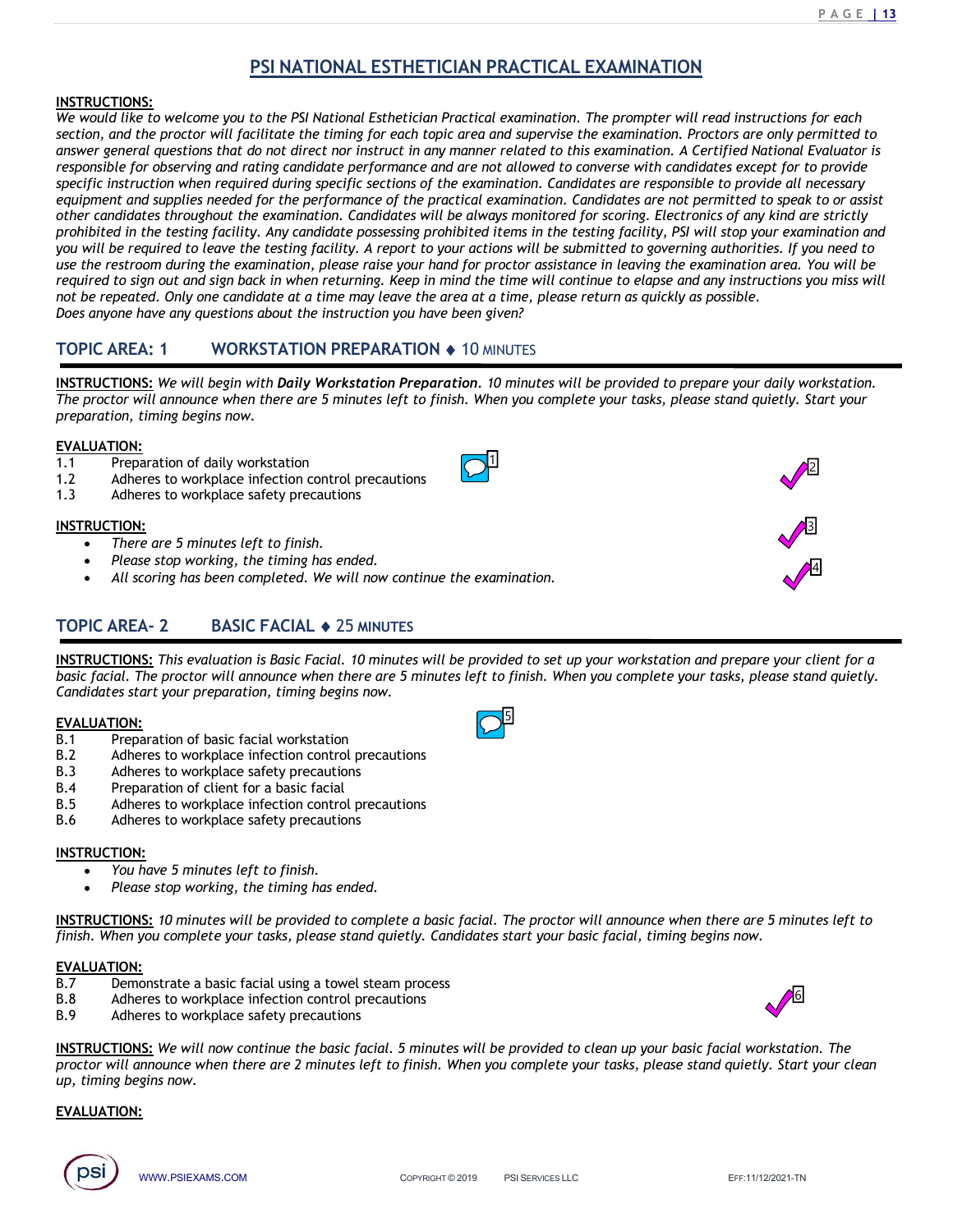# INSTRUCTIONS:

PAGE 13<br>
PSI NATIONAL ESTHETICIAN PRACTICAL EXAMINATION<br>
to the PSI National Esthetician Practical examination. The prompter will read instructions for each<br>
cilitate the timing for each topic area and supervise the exami **INSTRUCTIONS:**<br> **INSTRUCTIONS:**<br>
We would like to welcome you to the PSI National Esthetician Practical examination. The prompter will read instructions for each<br>
section, and the proctor will facilitate the timing for e **SETRUCTIONS:**<br>**SECTION ANTIONAL ESTHETICIAN PRACTICAL EXAMINATION**<br>We would like to welcome you to the PSI National Esthetician Practical examination. The prompter will read instructions for each<br>section, and the proctor **PAIRE EXAMINATION PRACTICAL EXAMINATION**<br>**Ansignate that do not different and the PSI National Esthetician Practical examination.** The prompter will read instructions for each<br>section, and the proctor will facilitate the **PACE THE SET AN PRACTICAL EXAMINATION**<br> **PACE TO AN INSTRUCTIONS:**<br>
We would like to welcome you to the PSI National Esthetician Practical examination. The prompter will read instructions for each<br>
section, and the procto **Specific instruction when reguired during the SF instruction Practical American CE SAMINATION We would like to welcome you to the PSI National Esthetician Practical examination. The prompter will read instructions for eac** equipment and supplies needed for the performance of the practical examination. Candidates are not permitted to speak to or assist **EXECTIONS:**<br> **EXECTIONS:**<br> **SCENDIMAL ESTHETICIAN PRACTICAL EXAMINATION**<br>
We would like to welcome you to the PSI National Esthetician Practical examination. The prompter will read instructions for each<br>
section, and the provided ite to welcome you to the PSI NATIONAL ESTHETICIAN PRACTICAL EXAMINATION We would like to welcome you to the PSI National Sthetician Practical examination. The prompter will read instructions for each we would lik you will be required to leave the testing facility. A report to your actions will be submitted to governing authorities. If you need to<br>use the restroom during the examination, please raise your hand for proctor assistance **EXAMING TONS:**<br> **EXAMING THE REST INDIVALL ESTHETICIAN PRACTICAL EXAMINATION**<br>
We would like to welcome you to the PSI National Esthetician Practical examination. The prompter will read instructions for each<br>
section, an **PSI NATIONAL ESTHETICIAN PRACTICAL EXAMINATION**<br>We would like to welcome you to the PSI National Esthetician Practical examination. The prompter will read instructions for each<br>answer general questions that do not direct **PARTIME SET ANTIONAL ESTHETICIAN PRACTICAL EXAMINATION**<br>We would like to vectome you to the PSI National Esthetician Practical examination. The prompter will read instructions for each<br>accom, and the proctor will facilit **PSI NATIONAL ESTHETICIAN PRACTICAL EXAMINATION**<br>
We would like to welcome you to the PSI National Esthetician Practical examination. The prompter will<br>
we would like to welcome you to the PSI National Esthetician Practica TOPIC AREA: 1 WORKSTATION PREPARATION <sup>10</sup> MINUTES **INSTRUCTIONS:**<br> **IPSI NATIONAL ESTHETICIAN PRACTICAL EXAIVe would like to we complete the VE indicate that interestinan practical examination. The preservation sees that work would like to the protot will facilitate the** 1.2 Adheres to workplace infection control precautions **INSTRUCTIONS:**<br>
We would like to welcome you to the PSI National Esthetician Practical examination. The precedion, and the proctor will facilitate the timing for each topic area and supervise the exams<br>
ersection, and the probibled in the testing factlity. Any condidate possessing probibled in the testing factlity, and the control over the restricted the convertion of the testing factlity. A report to your actions will be submitted to gover

INSTRUCTIONS: We will begin with Daily Workstation Preparation. 10 minutes will be provided to prepare your daily workstation. The proctor will announce when there are 5 minutes left to finish. When you complete your tasks, please stand quietly. Start your preparation, timing begins now. **TOPIC AREA:** 1 WORKSTATION PREPARATION  $\bullet$  10 MINUTES<br> **INSTRUCTIONS:** We will begin with Daily Workstation Preparation. 10 minutes will be protector will amounce when there are 5 minutes left to finish. When you comple **INTRUCTIONS:** We will begin with Daily Workstation Preparation. 10 minutes will be pro<br> **INSTRUCTIONS:** We will begin with Daily Workstation Preparation. 10 minutes will be pro-<br>
preparation, timing begins now.<br> **EVALUATI INSTRUCTIONS:** We will begin with Daily Workstation Preparation. 10 minutes will be propriation, this proctor will amounce when there are 5 minutes left to finish. When you complete you<br> **EVALUATION:**<br> **EVALUATION:**<br> **EV** 

 $1$ 

# EVALUATION:

- 
- 
- 

# INSTRUCTION:

- There are 5 minutes left to finish.
- Please stop working, the timing has ended.
- All scoring has been completed. We will now continue the examination.

INSTRUCTIONS: This evaluation is Basic Facial. 10 minutes will be provided to set up your workstation and prepare your client for a basic facial. The proctor will announce when there are 5 minutes left to finish. When you complete your tasks, please stand quietly. Candidates start your preparation, timing begins now. **INSTRUCTIONS:** We will begin with Daily Workstation Preparation. To minutes will be protor will announce when there are 5 minutes left to finish. When you complete you<br>preparation, timing begins now.<br> **EVALUATION:**<br>
1.1 P The proctor will amounce when there are 5 minutes left to finish. When you complete your<br> **EVALUATION:**<br>
1.1 Preparation of daily workstation<br>
1.2 Adheres to workplace infection control precautions<br> **INSTRUCTION:**<br>
1.3 Adh **EVALUATION:**<br> **EVALUATION:**<br> **EVALUATION:**<br> **EVALUATION:**<br> **ASTRUCTION:**<br> **ASTRUCTION:**<br> **ASTRUCTION:**<br> **ASTRUCTION:**<br> **ASTRUCTION:**<br> **ASTRUCTION:**<br> **ASTRUCTION:**<br> **ASTRUCTION:**<br> **ASTRUCTION:**<br> **ASTRUCTIONS:**<br> **EVALUATION** Art scoring has been completed. We will now contribue the examination.<br> **ITOPIC AREA-2** BASIC FACIAL  $\bullet$  25 MINUTES<br>
INSTRUCTIONS: This evaluation is Basic Facial. 10 minutes will be provided to set up your works<br>
CCIAL T **TOPIC AREA-2** BASIC FACIAL  $\bullet$  25 MINUTES<br> **INSTRUCTIONS:** This evaluation is basic Facial. 10 minutes will be provided to set up your where the first procedure. The procedure infection control and Candidates start your **TOPIC AREA-2** BASIC FACIAL  $\bullet$  25 MINUTES<br> **INSTRUCTIONS:** This evaluation is Basic Facial. 10 minutes will be provided to set up your<br>
basic facial. The proctor will announce when there are 5 minutes left to finish. Whe INSTRUCTIONS: This evoluation is Basic Facial. 10 minutes will be provided to set up your workstation and prepare your client for a<br>Candidates facial. The proced will amounce when there are 5 minutes left to finish. When y

# EVALUATION:

- -
- 
- 
- 
- 

# INSTRUCTION:

- You have 5 minutes left to finish.
- Please stop working, the timing has ended.

INSTRUCTIONS: 10 minutes will be provided to complete a basic facial. The proctor will announce when there are 5 minutes left to finish. When you complete your tasks, please stand quietly. Candidates start your basic facial, timing begins now.

# EVALUATION:<br>B.7 Demo

- 
- 
- 

The sto workplace sately precautions<br>aration of client for a basic facilal<br>aration of client for a basic facilal<br>thore is to workplace safety precautions<br>for the stop working, the timing has ended.<br>Some 5 minutes will be **INSTILICTIONS:** This evolution is Basic recicl: 10 minutes will be provided to set up your complete your tasks, please stand quelty.<br>
Condidates start your preparation, timing begins now.<br>
Condidates start your preparatio up, timing begins now.

# EVALUATION:







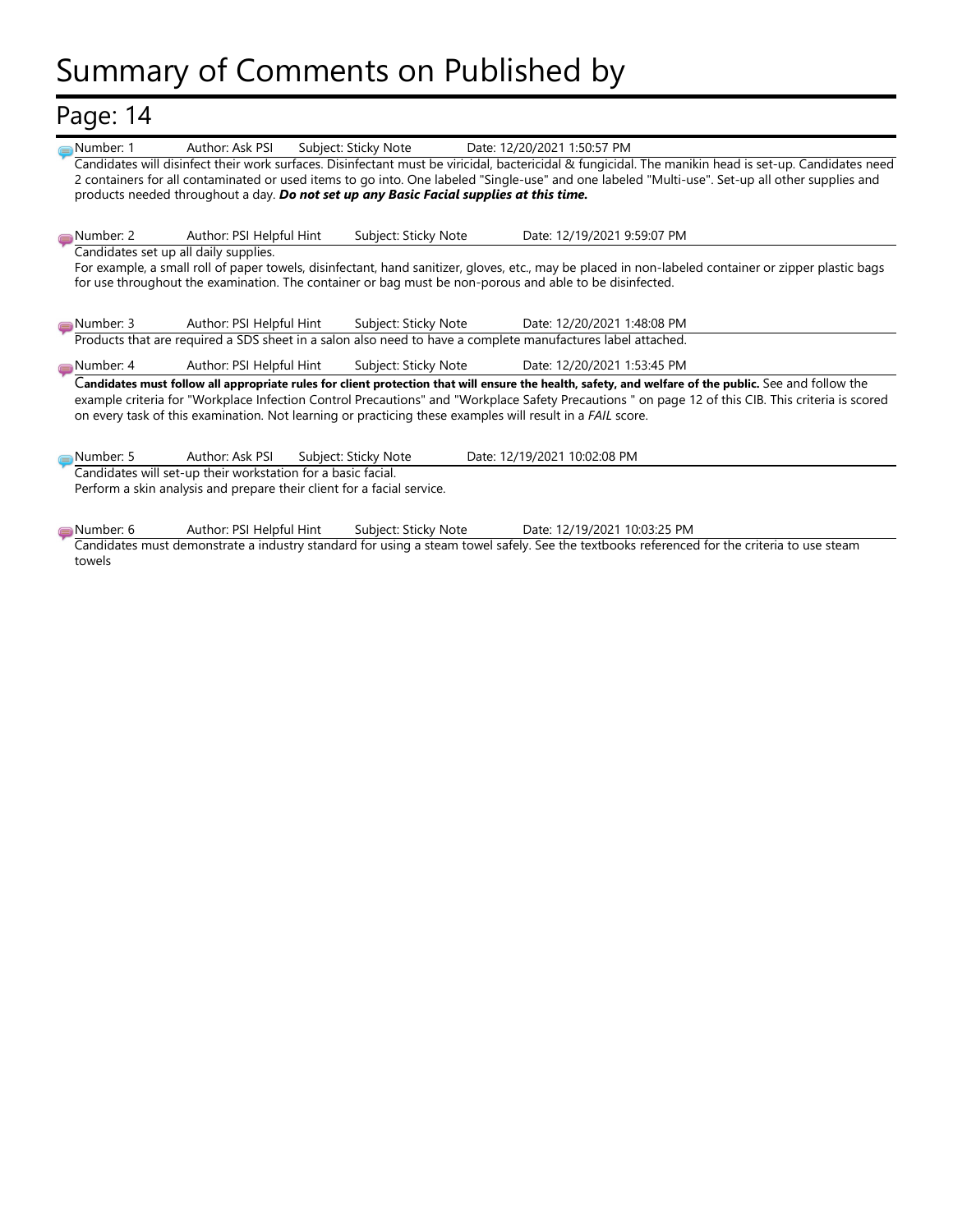# Summary of Comments on Published by

# Page: 14

| Page: 14               |                                                                                                                                                  |                      |                                                                                                                                                                                                                                                                                                                                         |
|------------------------|--------------------------------------------------------------------------------------------------------------------------------------------------|----------------------|-----------------------------------------------------------------------------------------------------------------------------------------------------------------------------------------------------------------------------------------------------------------------------------------------------------------------------------------|
| Number: 1              | Author: Ask PSI<br>products needed throughout a day. Do not set up any Basic Facial supplies at this time.                                       | Subject: Sticky Note | Date: 12/20/2021 1:50:57 PM<br>Candidates will disinfect their work surfaces. Disinfectant must be viricidal, bactericidal & fungicidal. The manikin head is set-up. Candidates need<br>2 containers for all contaminated or used items to go into. One labeled "Single-use" and one labeled "Multi-use". Set-up all other supplies and |
| Number: 2              | Author: PSI Helpful Hint                                                                                                                         | Subject: Sticky Note | Date: 12/19/2021 9:59:07 PM                                                                                                                                                                                                                                                                                                             |
|                        | Candidates set up all daily supplies.<br>for use throughout the examination. The container or bag must be non-porous and able to be disinfected. |                      | For example, a small roll of paper towels, disinfectant, hand sanitizer, gloves, etc., may be placed in non-labeled container or zipper plastic bags                                                                                                                                                                                    |
| Number: 3              | Author: PSI Helpful Hint                                                                                                                         | Subject: Sticky Note | Date: 12/20/2021 1:48:08 PM                                                                                                                                                                                                                                                                                                             |
|                        |                                                                                                                                                  |                      | Products that are required a SDS sheet in a salon also need to have a complete manufactures label attached.                                                                                                                                                                                                                             |
| Number: 4 <sub>—</sub> | Author: PSI Helpful Hint                                                                                                                         | Subject: Sticky Note | Date: 12/20/2021 1:53:45 PM<br>Candidates must follow all appropriate rules for client protection that will ensure the health, safety, and welfare of the public. See and follow the                                                                                                                                                    |
|                        |                                                                                                                                                  |                      | example criteria for "Workplace Infection Control Precautions" and "Workplace Safety Precautions " on page 12 of this CIB. This criteria is scored<br>on every task of this examination. Not learning or practicing these examples will result in a FAIL score.                                                                         |
|                        |                                                                                                                                                  |                      |                                                                                                                                                                                                                                                                                                                                         |
| Number: 5              | Author: Ask PSI                                                                                                                                  | Subject: Sticky Note | Date: 12/19/2021 10:02:08 PM                                                                                                                                                                                                                                                                                                            |
|                        | Candidates will set-up their workstation for a basic facial.                                                                                     |                      |                                                                                                                                                                                                                                                                                                                                         |
|                        | Perform a skin analysis and prepare their client for a facial service.                                                                           |                      |                                                                                                                                                                                                                                                                                                                                         |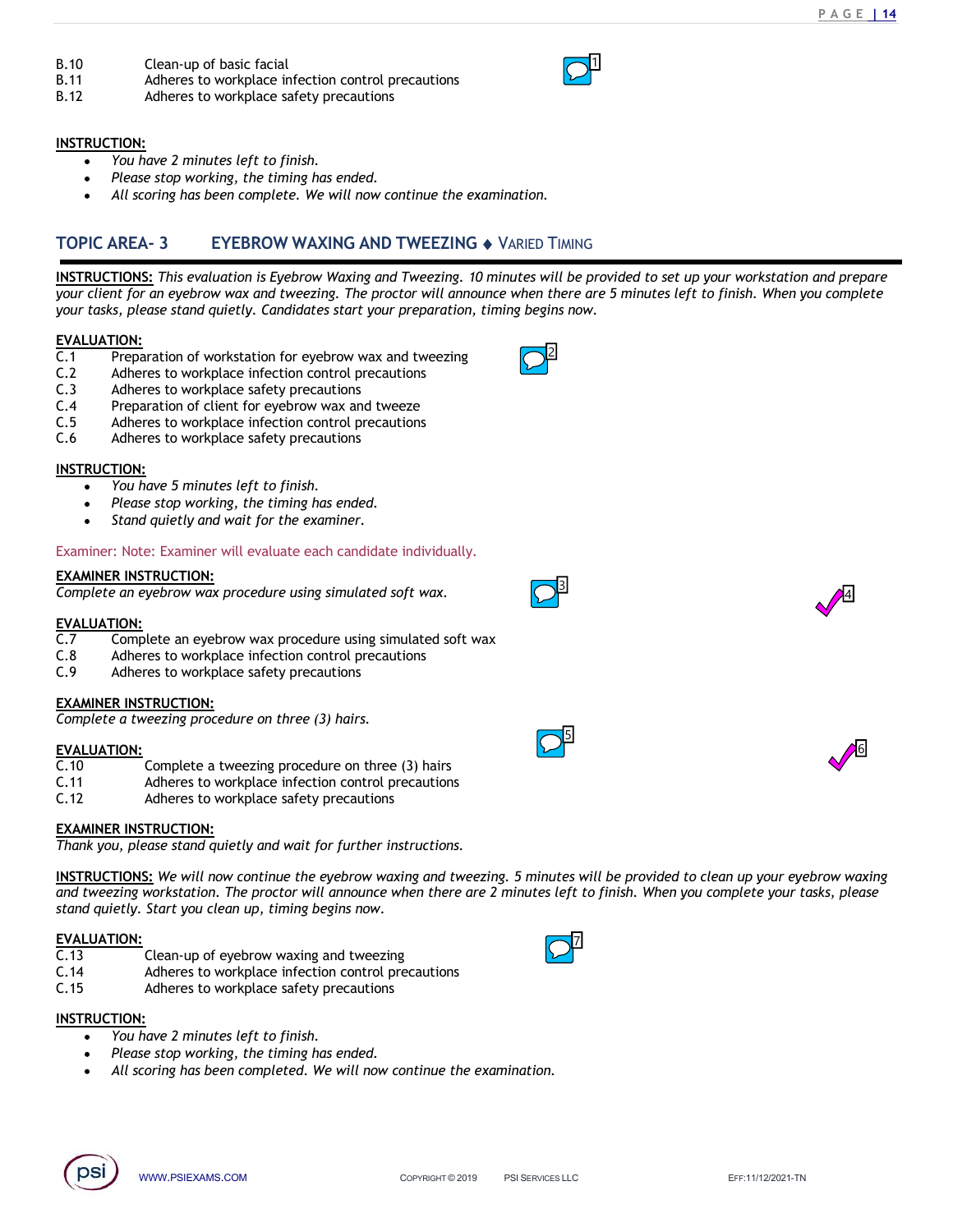$\overline{1}$ 

2

- 
- B.10 Clean-up of basic facial<br>
B.11 Adheres to workplace infection control precautions<br>
B.12 Adheres to workplace safety precautions<br>
INSTRUCTION:<br>
 You have 2 minutes left to finish. B.11 Adheres to workplace infection control precautions B.10 Clean-up of basic facial<br>
B.11 Adheres to workplace infection control precautions<br>
B.12 Adheres to workplace safety precautions<br>
NINETRUCTION:<br>
• You have 2 minutes left to finish.<br>
• Please stop working, the timing h
- 

# INSTRUCTION:

- You have 2 minutes left to finish.
- Please stop working, the timing has ended.
- All scoring has been complete. We will now continue the examination.

**EXECUTION:**<br> **READ-** Clean-up of basic facial<br> **REAC- 3**<br> **REAC- 3**<br> **REAC- 3**<br> **REAC- 3**<br> **REAC- 3**<br> **REAC- 3**<br> **REAC- 2**<br> **REAC- 3**<br> **REAC- 2**<br> **REAC- 3**<br> **REAC- 2**<br> **REAC- 3**<br> **REAC- 2**<br> **REAC- 3**<br> **REAC- 2**<br> **REAC- 3 EXECTION:**<br>
ISTRUCTION:<br>
ISTRUCTION:<br>
ISTRUCTION:<br>
INSTRUCTION:<br>
INSTRUCTION:<br>
INSTRUCTION:<br>
INSTRUCTIONS: This evaluation is Eyebrow Waxing and Tweezing. 10 minutes will be provided to set up your workstation and prepar your client for an eyebrow wax and tweezing. The proctor will announce when there are 5 minutes left to finish. When you complete your tasks, please stand quietly. Candidates start your preparation, timing begins now. **B.10**<br>
Clean-up of basic facial<br> **B.12**<br> **C.1**<br> **C.1**<br> **C.1**<br> **C.1**<br> **C.1**<br> **C.1**<br> **C.1**<br> **C.1**<br> **C.1**<br> **C.1**<br> **C.1**<br> **C.1**<br> **C.1**<br> **C.1**<br> **C.1**<br> **C.1**<br> **C.1**<br> **C.1**<br> **C.1**<br> **C.1**<br> **C.1**<br> **C.1**<br> **C.1**<br> **C.1**<br> **C.1**<br> **C.1** B.10 Clean-up of basic facial<br>
B.11 Adheres to workplace infection control precautions<br>
B.12 Adheres to workplace safety precautions<br>
NISTRUCTION:<br>
• You have 2 minutes left to finish.<br>
• Please stop working, the timing h **B.10**<br>
Clean-up of basic facial<br>
B.11 Adheres to workplace infection control precautions<br>
RISTRUCTION:<br>
C.3 Adheres to workplace safety precautions<br>
Cleanse stop working, the timing has ended.<br>
CLEAN CREA - 3 EVEBROW WAX **B.10**<br>
Clean-up of basic facial<br>
B.12 Adheres to workplace infection control precautions<br>
Clean-to workplace safety precautions<br>
NETRUCTION:<br>
Network and the timing has ended.<br>
All scoring has been complete. We will now B.10 Clean-up of basic facial<br>
R.11 Adheres to workplace infection control precautions<br>
R.12 Adheres to workplace safety precautions<br>
NISTRUCTION:<br>
NOPIC AREA-3 EYEBROW WAXING AND TWEEZING  $\bullet$  VARIED TIMING<br>
TOPIC AREA-3 B.10 Clean-up of basic facial<br>
B.11 Adheres to workplace infection control precautions<br>
B.12 Adheres to workplace safety precautions<br>
NISTRUCTION:<br>
• You have 2 minutes left to finish.<br>
• Please stop working, the timing ha TOPIC AREA-3 EYEBROW WAXING AND TWEEZING  $\bullet$  VARIED TIMING<br>
INSTRUCTIONS: This evaluation is Eyebrow Woxing and Tweezing. 10 minutes will be provided to set up your way<br>
your client for an eyebrow wax and tweezing. The pr **EXECUTIONS:** This evaluation is Eva-<br> **EXECUTIONS:** This evaluation is Eyebrow Waxing and Tweezing. 10 minutes will be provid<br>
your client for an eyebrow wax and tweezing. The proctor will announce when there are 5 for<br>
E INSTRUCTIONS: This evaluation is Eyebrow Waxing and Tweezing. 10 minutes will be provident for an eyebrow wax and tweezing<br>your clasts, please stand quietly. Candidates start your preparation, timing begins now.<br>
EVALUATI

# EVALUATION:

- 
- 
- 
- 
- 
- 

# INSTRUCTION:

- You have 5 minutes left to finish.
- Please stop working, the timing has ended.
- Stand quietly and wait for the examiner.

# Examiner: Note: Examiner will evaluate each candidate individually.

# EXAMINER INSTRUCTION:

Complete an eyebrow wax procedure using simulated soft wax.

# EVALUATION:

- C.1<br>
C.2 Adhenes to workplace Infection control precautions<br>
C.2 Adhenes to workplace infection control precautions<br>
C.4 Preparation of client for eyebrow was and tweeze<br>
C.6 Adhenes to workplace infection control precauti
- 
- 

# EXAMINER INSTRUCTION:

Complete a tweezing procedure on three (3) hairs.

# EVALUATION:<br>C.10

- 
- 
- 

# EXAMINER INSTRUCTION:

Thank you, please stand quietly and wait for further instructions.

Nationes is workplace linection control precautions<br>
Adheres to workplace linection control precautions<br>
Adheres to workplace safety precautions<br>
FIRU-CION:<br>
SEXAMS TRUCES COM ware therefore will move of the version was C.2<br>
C.3 Adheres to workplace safety precautions<br>
C.4 Preparation of client for eyebrow was an diverge<br>
C.5 Adheres to workplace infection control precautions<br>
C.5 Adheres to workplace safety precautions<br>
INSTRUCTION:<br> **EX** C.4<br>
C.4 Preparation of client for eyebrow wax and tweeze<br>
C.6 Adheres to workplace infection control precautions<br>
C.6 Adheres to workplace safety precautions<br>
WESTRUCTION:<br>
• You have 5 minutes left to finish.<br>
• Please **INSTRUCTIONS:** We will now continue the eyebrow waxing and tweezing. 5 minutes will be provided to clean up your eyebrow waxing and tweezing workstation. The proctor will announce when there are 2 minutes left to finish. When you complete your tasks, please stand quietly. Start you clean up, timing begins now. EXAMINER INSTRUCTION:<br>
EXAMINER INSTRUCTION:<br>
Complete an eyebrow wax procedure using simulated soft wax.<br>
C.7 Complete an eyebrow wax procedure using simulated soft wax<br>
C.8 Adheres to workplace infection control precaut **EXAMINER INSTRUCTION:**<br>
C.7 Complete an eyebrow wax procedure using simulated soft wax.<br>
C.3<br>
C.7 Complete an eyebrow wax procedure using simulated soft wax<br>
C.3 Adheres to workplace infection control precautions<br>
C.7 Ad Complete an eyebrow wax procedure using simulated soft wax.<br>
C.18 Complete an eyebrow wax procedure using simulated soft wax<br>
C.18 Adheres to workplace infection control precautions<br>
C.10 Adheres to workplace safety preca

# EVALUATION:

- 
- 
- 

# INSTRUCTION:

- You have 2 minutes left to finish.
- Please stop working, the timing has ended.
- All scoring has been completed. We will now continue the examination.





4







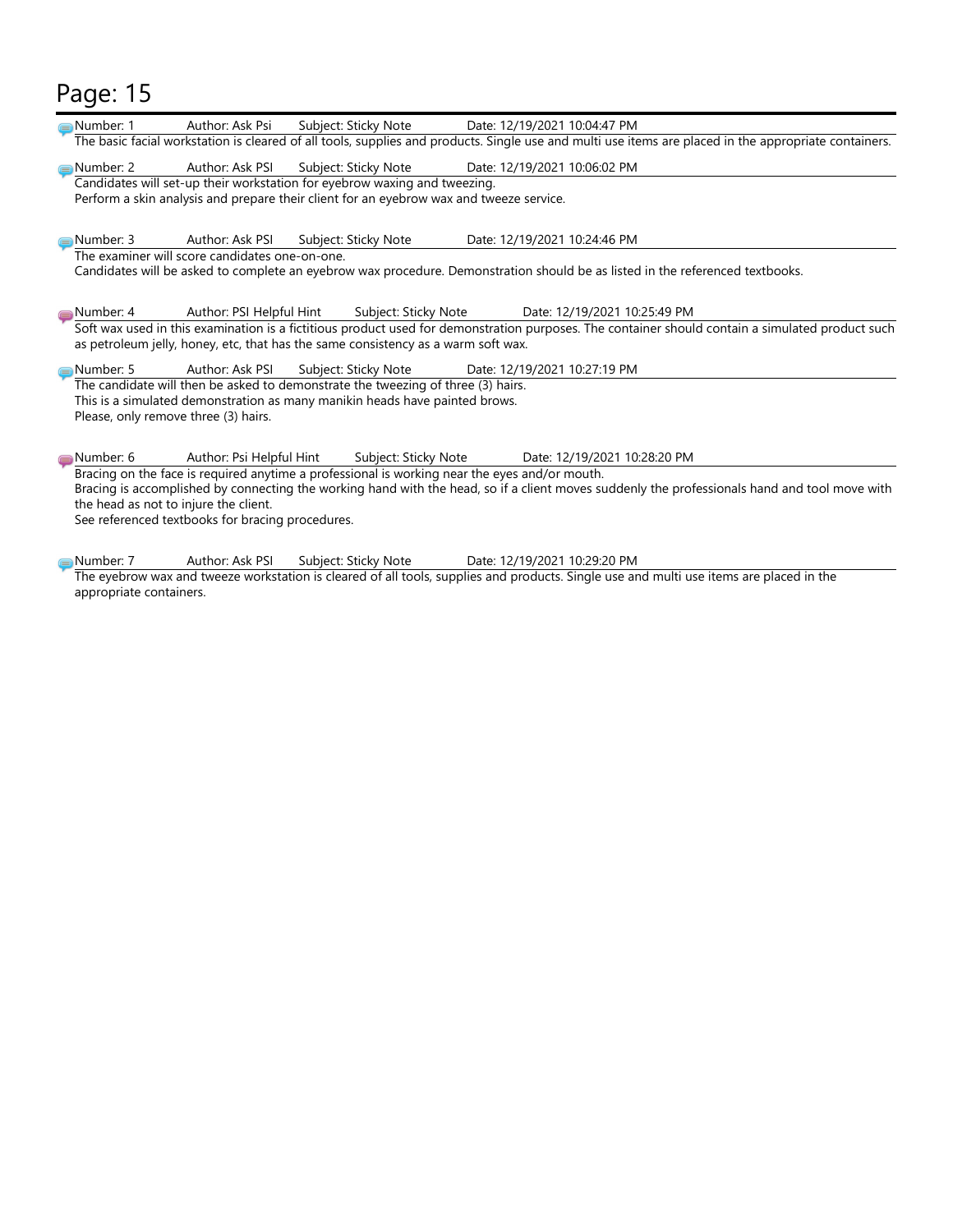# Page: 15

| Page: 15                |                                                                                                                                                                                                                                  |
|-------------------------|----------------------------------------------------------------------------------------------------------------------------------------------------------------------------------------------------------------------------------|
|                         |                                                                                                                                                                                                                                  |
| <b>■Number: 1</b>       | Date: 12/19/2021 10:04:47 PM<br>Author: Ask Psi<br>Subject: Sticky Note<br>The basic facial workstation is cleared of all tools, supplies and products. Single use and multi use items are placed in the appropriate containers. |
| Number: 2               | Author: Ask PSI<br>Subject: Sticky Note<br>Date: 12/19/2021 10:06:02 PM                                                                                                                                                          |
|                         | Candidates will set-up their workstation for eyebrow waxing and tweezing.                                                                                                                                                        |
|                         | Perform a skin analysis and prepare their client for an eyebrow wax and tweeze service.                                                                                                                                          |
| Number: 3               | Author: Ask PSI<br>Date: 12/19/2021 10:24:46 PM<br>Subject: Sticky Note                                                                                                                                                          |
|                         | The examiner will score candidates one-on-one.                                                                                                                                                                                   |
|                         | Candidates will be asked to complete an eyebrow wax procedure. Demonstration should be as listed in the referenced textbooks.                                                                                                    |
| Number: 4               | Author: PSI Helpful Hint<br>Subject: Sticky Note<br>Date: 12/19/2021 10:25:49 PM                                                                                                                                                 |
|                         | Soft wax used in this examination is a fictitious product used for demonstration purposes. The container should contain a simulated product such                                                                                 |
|                         | as petroleum jelly, honey, etc, that has the same consistency as a warm soft wax.                                                                                                                                                |
| Number: 5               | Date: 12/19/2021 10:27:19 PM<br>Author: Ask PSI<br>Subject: Sticky Note<br>The candidate will then be asked to demonstrate the tweezing of three (3) hairs.                                                                      |
|                         | This is a simulated demonstration as many manikin heads have painted brows.                                                                                                                                                      |
|                         | Please, only remove three (3) hairs.                                                                                                                                                                                             |
|                         | Author: Psi Helpful Hint<br>Subject: Sticky Note                                                                                                                                                                                 |
| Number: 6               | Date: 12/19/2021 10:28:20 PM<br>Bracing on the face is required anytime a professional is working near the eyes and/or mouth.                                                                                                    |
|                         | Bracing is accomplished by connecting the working hand with the head, so if a client moves suddenly the professionals hand and tool move with                                                                                    |
|                         | the head as not to injure the client.<br>See referenced textbooks for bracing procedures.                                                                                                                                        |
|                         |                                                                                                                                                                                                                                  |
| Number: 7               | Author: Ask PSI<br>Subject: Sticky Note<br>Date: 12/19/2021 10:29:20 PM                                                                                                                                                          |
|                         | The eyebrow wax and tweeze workstation is cleared of all tools, supplies and products. Single use and multi use items are placed in the                                                                                          |
|                         |                                                                                                                                                                                                                                  |
| appropriate containers. |                                                                                                                                                                                                                                  |
|                         |                                                                                                                                                                                                                                  |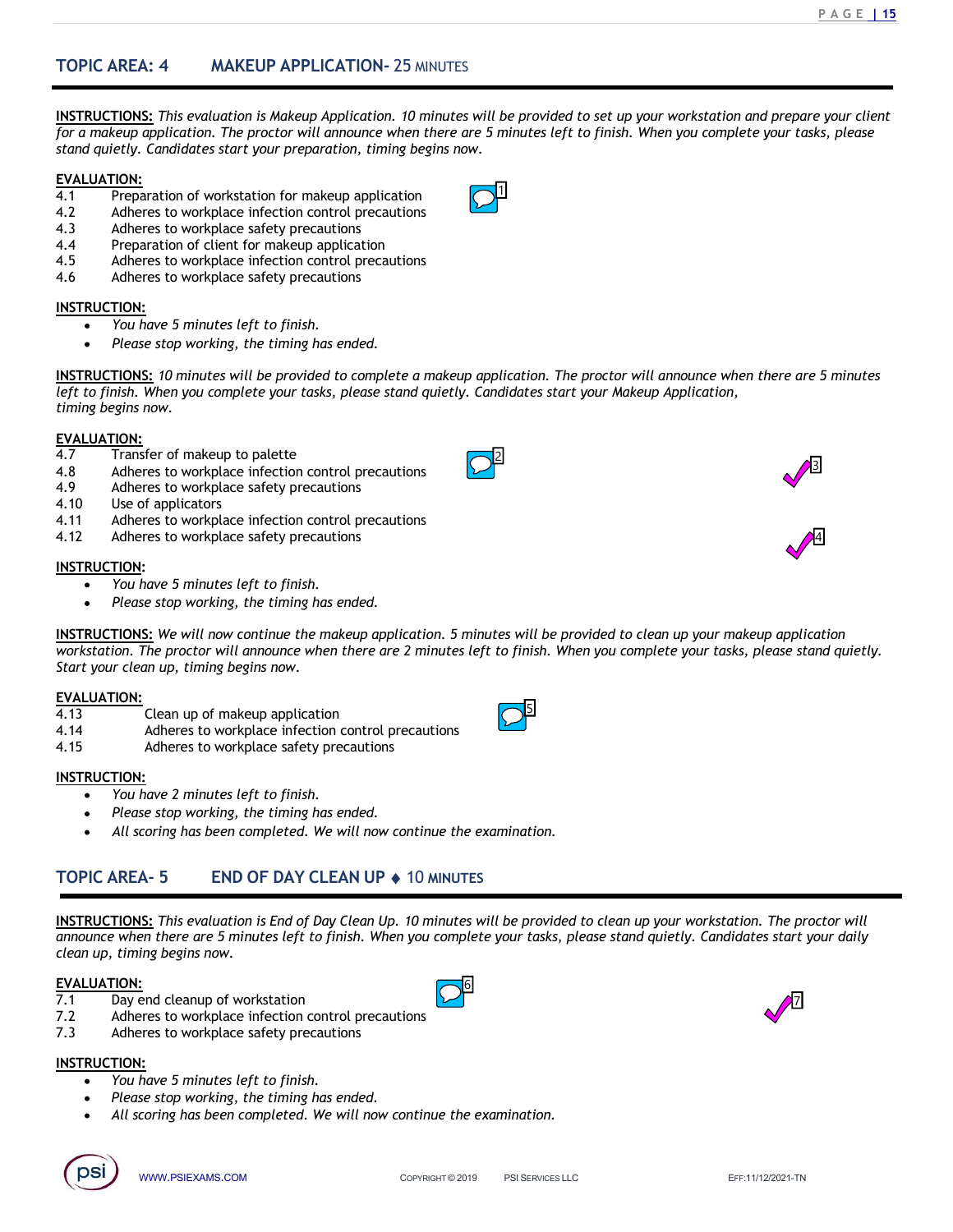TOPIC AREA: 4 MAKEUP APPLICATION- 25 MINUTES<br>INSTRUCTIONS: This evaluation is Makeup Application. 10 minutes will be provided to set up your workstation and pre<br>for a makeup application. The proctor will announce when ther INSTRUCTIONS: This evaluation is Makeup Application. 10 minutes will be provided to set up your workstation and prepare your client for a makeup application. The proctor will announce when there are 5 minutes left to finish. When you complete your tasks, please stand quietly. Candidates start your preparation, timing begins now. **TOPIC AREA: 4 MAKEUP APPLICATION-** 25 MINUTES<br> **INSTRUCTIONS:** This evaluation is Makeup Application. 10 minutes will be provided to set up your wors<br>
for a makeup application. The proctor will amounce when there are 5 mi **TOPIC AREA: 4** MAKEUP APPLICATION- 25 MINUTES<br> **INSTRUCTIONS:** This evaluation is Makeup Application. 10 minutes will be provided to set u<sub>l</sub><br>
for a makeup application. The proctor will announce when there are 5 minutes l TOPIC AREA: 4 MAKEUP APPLICATION- 25 MINUTES<br>
INSTRUCTIONS: This evaluation is Makeup Application. 10 minutes will be provided to set for a makeup application. The proctor will amounce when there are 5 minutes left to fini TOPIC AREA: 4 MAKEUP APPLICATION- 25 MINUTES<br>
INSTRUCTIONS: This evaluation is Makeup Application. 10 minutes will be provided to set up you<br>
for a makeup application. The proctor will announce when there are 5 minutes lef TOPIC AREA: 4 MAKEUP APPLICATION- 25 MINUTES<br>
INSTRUCTIONS: This evaluation is Makeup Application. 10 minutes will be provided to set u<br>
for a makeup application. The proctor will announce when there are 5 minutes left to TOPIC AREA: 4 MAKEUP APPLICATION- 25 MINUTES<br>
INSTRUCTIONS: This evaluation is Makeup Application. 10 minutes will be provided to set t<br>
for a makeup application. The proctor will announce when there are 5 minutes left to **TOPIC AREA: 4 MAKEUP APPLICATION**- 25 MINUTES<br> **INSTRUCTIONS:** This evaluation is Makeup Application. 10 minutes will be provided to set to for a makeup application. The protot will amounce when there are 5 minutes left 1.0PIC AREA: 4 MAREUP APPLICATION- 25 MNUTES<br>
INSTRUCTIONS: This evaluation is Makeup Application. 10 minutes will be provided to set uf<br>
for a makeup application. The proctor will announce when there are 5 minutes left to **INSTRUCTIONS:** This evaluation is Makeup Application. 10 minutes will be provided to set that and quietly. Candidates start your preparation, timing begins now.<br> **EVALUATION:**<br> **EVALUATION:**<br> **EVALUATION:**<br> **EVALUATION:**<br> **INSTRUCTIONS:** This evaluation is Makeup Application. 10 minutes will be provided to set to for a makeup application. The proctor will amounce when there are 5 minutes left to finis stand quiet). Candidates start your pr

 $1$ 

2

5 and 200 and 200 and 200 and 200 and 200 and 200 and 200 and 200 and 200 and 200 and 200 and 200 and 200 and

# EVALUATION:

- 
- 
- 
- 
- 
- 

# INSTRUCTION:

- You have 5 minutes left to finish.
	- Please stop working, the timing has ended.

INSTRUCTIONS: 10 minutes will be provided to complete a makeup application. The proctor will announce when there are 5 minutes left to finish. When you complete your tasks, please stand quietly. Candidates start your Makeup Application, timing begins now. **INSTRUCTIONS:**<br> **INSTRUCTIONS:**<br> **INSTENCTIONS:**<br> **INSTENCTION:**<br> **CONTIFY ADDISED AND ADDED AND ADDED AND ADDED AND ADDED AND A Adheres to workplace infection control precautions<br>
<b>EVALUATION:**<br> **4.12** Adheres to workpla For a makeup application. The proctor will amounce when there are 5 minutes tells to find<br>stand quietly, Candidates start your preparation, timing begins now.<br>
EVALUATION:<br>
A.1 Preparation of vorkstation for makeup applic

# EVALUATION:

- 
- 
- 
- 
- 
- 

# INSTRUCTION:

- You have 5 minutes left to finish.
- Please stop working, the timing has ended.

**INSTRUCTION:**<br>
A proposed to makeup application<br>
A dimension of cluster is makeup applications<br> **INSTRUCTION:**<br> **INSTRUCTION:**<br> **INSTRUCTION:**<br> **INSTRUCTION:**<br> **INSTRUCTION:**<br> **INSTRUCTION:**<br> **INSTRUCTION:**<br> **INSTRUCTION** workstation. The proctor will announce when there are 2 minutes left to finish. When you complete your tasks, please stand quietly. 4.5 Ambres to workplace intection control precautions<br>
4.6 Adheres to workplace safety precautions<br> **INSTRUCTION:**<br>
• You have 5 minutes left to finish.<br>
• Please stop working, the timing has ended.<br>
INSTRUCTIONS: 10 minut HOTION:<br>
We Transfer to provide the timing has ended.<br>
A Hersel scop working, the timing has ended.<br>
A Hersel scop working, the timing has ended.<br>
Left to finish. When you complete your tosks, please stand quietly. Candid • You have smillates left to finish.<br>
• Please stop working, the timing has ended.<br>
INSTRUCTIONS: 10 minutes will be provided to complete a makeup application. The proctor will<br>
definite to finish. When you complete your • Please stop working, the timing has ended.<br>
INSTRUCTONES: 10 minutes will be provided to complete a makeup application. The proctor will<br>
there to finish. When you complete your tasks, please stand quietly. Candidates st 4.49<br>
Andrees to workplace sirety precautions<br>
4.49<br>
Adheres to workplace sirety precautions<br>
1.47<br>
Adheres to workplace sirety precautions<br>
INSTRUCTION:<br>
We will now continue the mokeup application.<br>
INSTRUCTIONS: We will • Please stop working, the timing has ended.<br> **INSTRUCTIONS:** We will now continue the mokeup application. 5 minutes will be provided to clean up your intervals with owe continuous then there are 2 minutes left to finish. **INSTRUCTIONS:** We will now continue the makeup application. Timintes will be provided two rkstation. The proctor will amounce when there are 2 minutes left to finish. When you control start your clean up, timing begins n

# EVALUATION:

- 
- 
- 

# INSTRUCTION:

- You have 2 minutes left to finish.
- Please stop working, the timing has ended.
- All scoring has been completed. We will now continue the examination.

1:<br>  $\frac{12}{100}$ <br>  $\frac{12}{100}$ <br>  $\frac{12}{100}$ <br>  $\frac{12}{100}$ <br>  $\frac{12}{100}$ <br>  $\frac{12}{100}$ <br>  $\frac{12}{100}$ <br>  $\frac{12}{100}$ <br>  $\frac{12}{100}$ <br>  $\frac{12}{100}$ <br>  $\frac{12}{100}$ <br>  $\frac{12}{100}$ <br>  $\frac{12}{100}$ <br>  $\frac{12}{100}$ <br>  $\frac{12}{100}$ <br>  $\frac{12}{$ INSTRUCTIONS: This evaluation is End of Day Clean Up. 10 minutes will be provided to clean up your workstation. The proctor will announce when there are 5 minutes left to finish. When you complete your tasks, please stand quietly. Candidates start your daily clean up, timing begins now. **INSTRUCTIONS:** We will now continue the makeup application. 5 minutes will be provided<br>
Start your clean up, timing begins now.<br>
Start your clean up of makeup application<br>
Adheres to workplace infection control precautio

# EVALUATION:

- 
- 
- 

# INSTRUCTION:

- You have 5 minutes left to finish.
- Please stop working, the timing has ended.
- All scoring has been completed. We will now continue the examination.









3



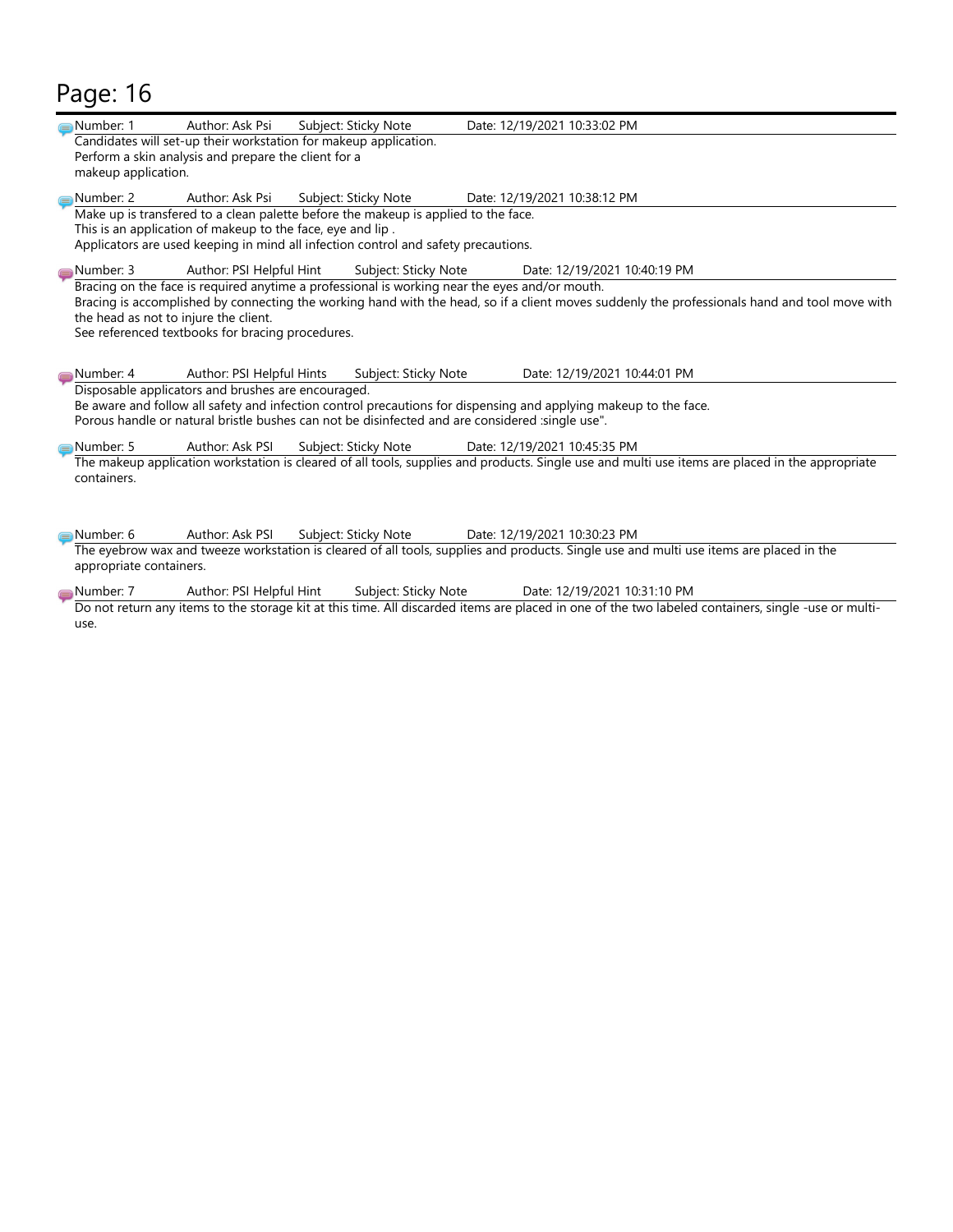# Page: 16

| Page: 16                                                                                                                                                                                                                                                                                                                                    |  |
|---------------------------------------------------------------------------------------------------------------------------------------------------------------------------------------------------------------------------------------------------------------------------------------------------------------------------------------------|--|
| Author: Ask Psi<br>Subject: Sticky Note<br>Date: 12/19/2021 10:33:02 PM<br>Number: 1<br>Candidates will set-up their workstation for makeup application.                                                                                                                                                                                    |  |
| Perform a skin analysis and prepare the client for a<br>makeup application.                                                                                                                                                                                                                                                                 |  |
| Number: 2<br>Author: Ask Psi<br>Subject: Sticky Note<br>Date: 12/19/2021 10:38:12 PM                                                                                                                                                                                                                                                        |  |
| Make up is transfered to a clean palette before the makeup is applied to the face.<br>This is an application of makeup to the face, eye and lip.<br>Applicators are used keeping in mind all infection control and safety precautions.                                                                                                      |  |
| Number: 3<br>Author: PSI Helpful Hint<br>Subject: Sticky Note<br>Date: 12/19/2021 10:40:19 PM                                                                                                                                                                                                                                               |  |
| Bracing on the face is required anytime a professional is working near the eyes and/or mouth.<br>Bracing is accomplished by connecting the working hand with the head, so if a client moves suddenly the professionals hand and tool move with<br>the head as not to injure the client.<br>See referenced textbooks for bracing procedures. |  |
| Author: PSI Helpful Hints<br>Date: 12/19/2021 10:44:01 PM<br>Number: 4<br>Subject: Sticky Note                                                                                                                                                                                                                                              |  |
| Disposable applicators and brushes are encouraged.<br>Be aware and follow all safety and infection control precautions for dispensing and applying makeup to the face.<br>Porous handle or natural bristle bushes can not be disinfected and are considered :single use".                                                                   |  |
| Number: 5<br>Author: Ask PSI<br>Subject: Sticky Note<br>Date: 12/19/2021 10:45:35 PM                                                                                                                                                                                                                                                        |  |
| The makeup application workstation is cleared of all tools, supplies and products. Single use and multi use items are placed in the appropriate<br>containers.                                                                                                                                                                              |  |
| Number: 6<br>Author: Ask PSI<br>Subject: Sticky Note<br>Date: 12/19/2021 10:30:23 PM                                                                                                                                                                                                                                                        |  |
| The eyebrow wax and tweeze workstation is cleared of all tools, supplies and products. Single use and multi use items are placed in the<br>appropriate containers.                                                                                                                                                                          |  |
| Number: 7<br>Author: PSI Helpful Hint<br>Subject: Sticky Note<br>Date: 12/19/2021 10:31:10 PM                                                                                                                                                                                                                                               |  |
| Do not return any items to the storage kit at this time. All discarded items are placed in one of the two labeled containers, single -use or multi-<br>use.                                                                                                                                                                                 |  |
|                                                                                                                                                                                                                                                                                                                                             |  |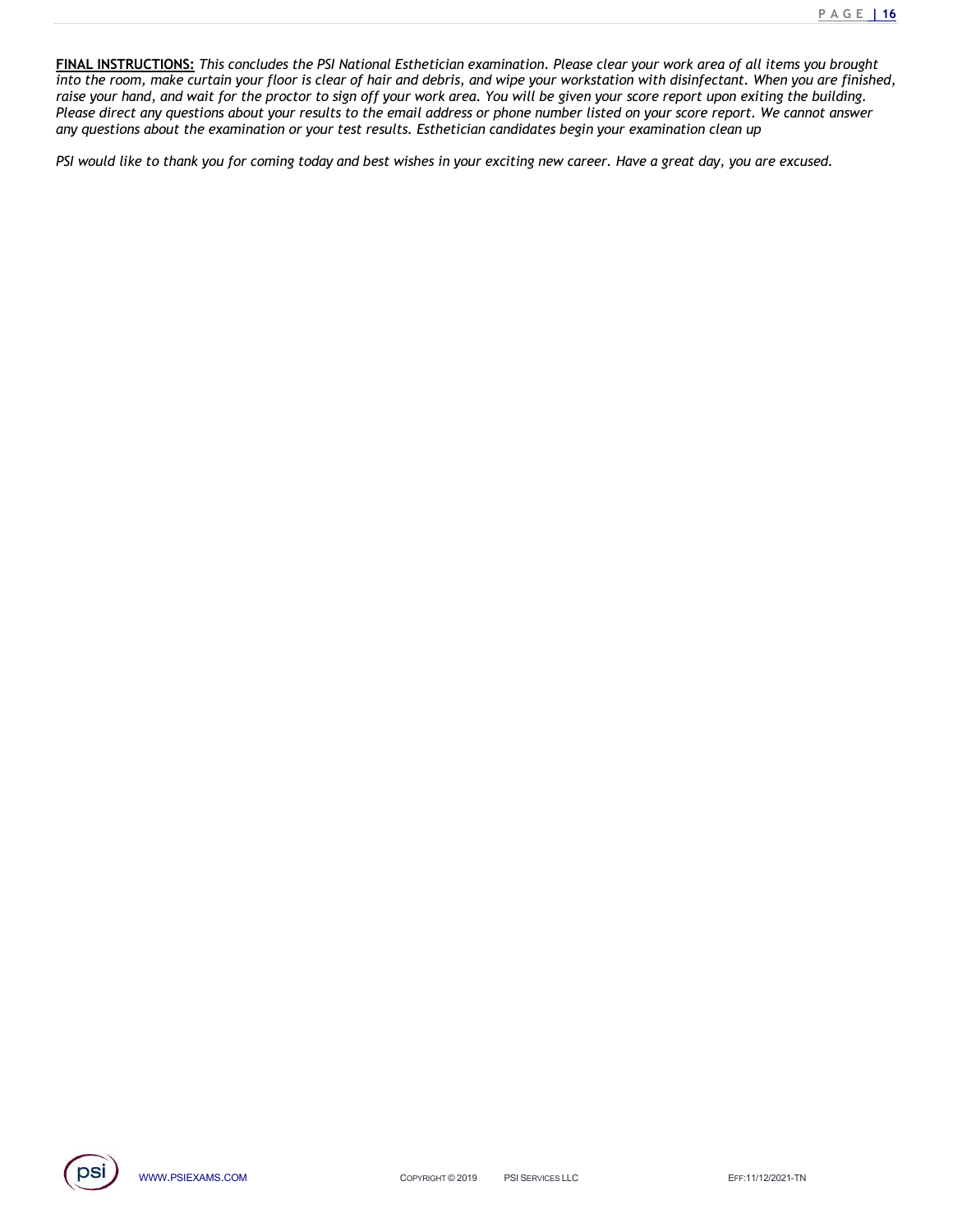<u>P A G E **| 16**<br>u brought<br>are finished,<br>uilding.<br>t answer</u> P A G E 116<br>INNAL INSTRUCTIONS: This concludes the PSI National Esthetician examination. Please clear your work area of all items you brought<br>into the room, make curtain your floor is clear of hair and debris, and wipe you **FINAL INSTRUCTIONS:** This concludes the PSI National Esthetician examination. Please clear your work area of all items you brought into the room, make curtain your floor is clear of hair and debris, and wipe your worksta raise your hand, and wait for the proctor to sign off your work area. You will be given your score report upon exiting the building.<br>Please direct any questions about your results to the email address or phone number liste PAGE 16<br> **FINAL INSTRUCTIONS:** This concludes the PSI National Esthetician examination. Please clear your work area of all items you brought<br>
into the room, make curtain your floor is clear of hair and debris, and wipe yo PAGE 16.<br> **FINAL INSTRUCTIONS:** This concludes the PSI National Esthetician examination. Please clear your work area of all items you brought<br>
into the room, make curtain your floor is clear of hair and debris, and wipe y PINAL INSTRUCTIONS: This concludes the PSI National Esthetician examination. Please clear your work area of all items you brought<br>into the room, make curtain your floor is clear of hair and debris, and wipe your workstatio

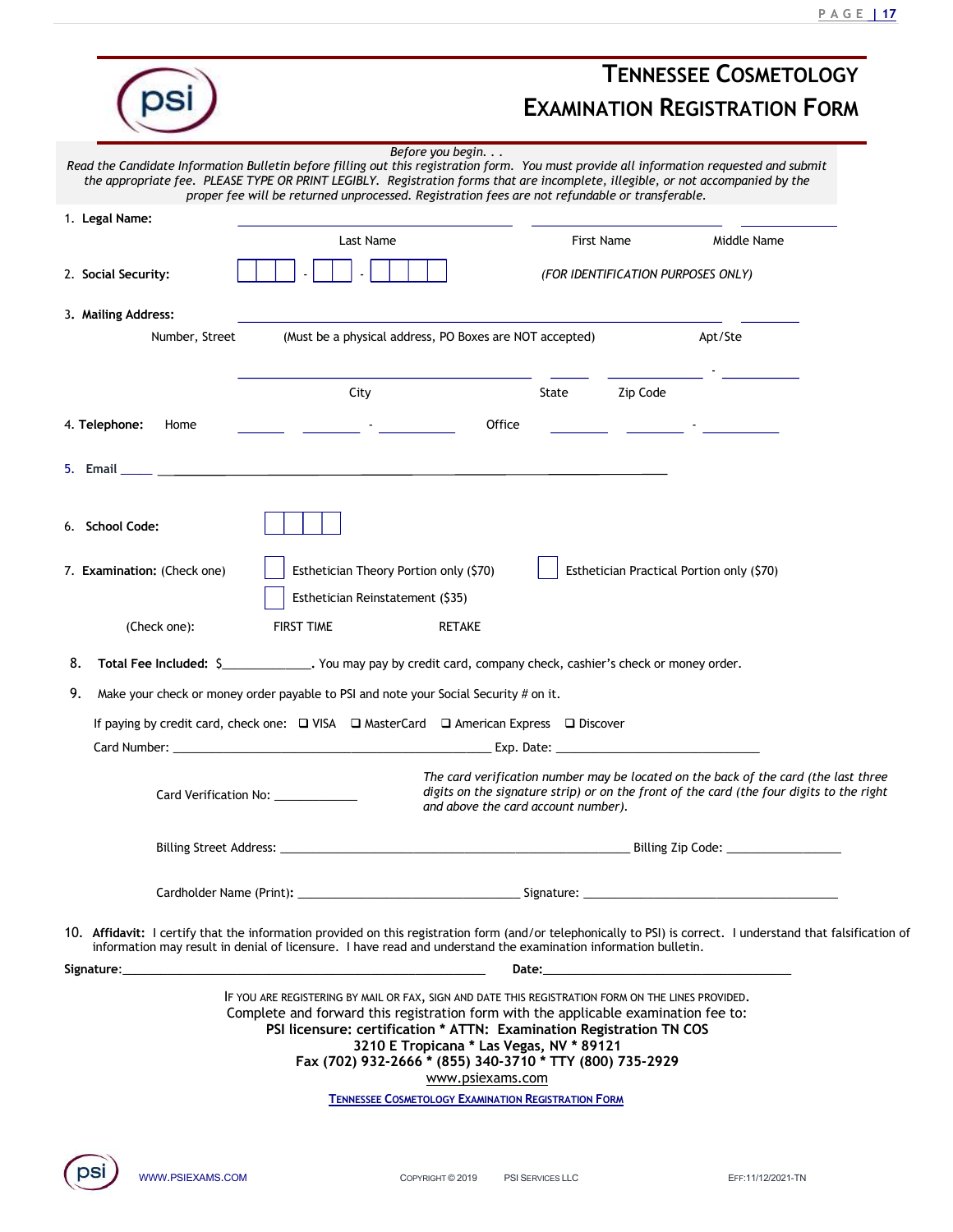|                             |                                                                                                                                                                                                                                                                                                                                                                                                    |                                     |                                                                                                                                                                                 | <b>PAGE   17</b> |
|-----------------------------|----------------------------------------------------------------------------------------------------------------------------------------------------------------------------------------------------------------------------------------------------------------------------------------------------------------------------------------------------------------------------------------------------|-------------------------------------|---------------------------------------------------------------------------------------------------------------------------------------------------------------------------------|------------------|
|                             |                                                                                                                                                                                                                                                                                                                                                                                                    |                                     | <b>TENNESSEE COSMETOLOGY</b>                                                                                                                                                    |                  |
|                             |                                                                                                                                                                                                                                                                                                                                                                                                    |                                     | <b>EXAMINATION REGISTRATION FORM</b>                                                                                                                                            |                  |
|                             | Before you begin.<br>Read the Candidate Information Bulletin before filling out this registration form. You must provide all information requested and submit<br>the appropriate fee. PLEASE TYPE OR PRINT LEGIBLY. Registration forms that are incomplete, illegible, or not accompanied by the<br>proper fee will be returned unprocessed. Registration fees are not refundable or transferable. |                                     |                                                                                                                                                                                 |                  |
| 1. Legal Name:              | Last Name                                                                                                                                                                                                                                                                                                                                                                                          | First Name                          | Middle Name                                                                                                                                                                     |                  |
| 2. Social Security:         |                                                                                                                                                                                                                                                                                                                                                                                                    |                                     | (FOR IDENTIFICATION PURPOSES ONLY)                                                                                                                                              |                  |
| 3. Mailing Address:         |                                                                                                                                                                                                                                                                                                                                                                                                    |                                     |                                                                                                                                                                                 |                  |
| Number, Street              | (Must be a physical address, PO Boxes are NOT accepted)                                                                                                                                                                                                                                                                                                                                            |                                     | Apt/Ste                                                                                                                                                                         |                  |
|                             | City                                                                                                                                                                                                                                                                                                                                                                                               | State                               | Zip Code                                                                                                                                                                        |                  |
| 4. Telephone:<br>Home       | <u> 1999 - Jan Barbara Barbara, masjid a shekara 1999 - Shekara 1999 - Shekara 1999 - Shekara 1999 - Shekara 1999 </u>                                                                                                                                                                                                                                                                             | Office                              | <u> 1999 - Francis III, prima postala prima prima prima prima prima prima prima prima prima prima prima prima pri</u>                                                           |                  |
| 5. Email _____              | the control of the control of the control of the control of the control of the control of the control of the control of the control of the control of the control of the control of the control of the control of the control                                                                                                                                                                      |                                     |                                                                                                                                                                                 |                  |
|                             |                                                                                                                                                                                                                                                                                                                                                                                                    |                                     |                                                                                                                                                                                 |                  |
| 6. School Code:             |                                                                                                                                                                                                                                                                                                                                                                                                    |                                     |                                                                                                                                                                                 |                  |
| 7. Examination: (Check one) | Esthetician Theory Portion only (\$70)                                                                                                                                                                                                                                                                                                                                                             |                                     | Esthetician Practical Portion only (\$70)                                                                                                                                       |                  |
|                             | Esthetician Reinstatement (\$35)                                                                                                                                                                                                                                                                                                                                                                   |                                     |                                                                                                                                                                                 |                  |
| (Check one):                | <b>FIRST TIME</b><br><b>RETAKE</b>                                                                                                                                                                                                                                                                                                                                                                 |                                     |                                                                                                                                                                                 |                  |
|                             | 8. Total Fee Included: \$______________. You may pay by credit card, company check, cashier's check or money order.                                                                                                                                                                                                                                                                                |                                     |                                                                                                                                                                                 |                  |
| 9.                          | Make your check or money order payable to PSI and note your Social Security # on it.                                                                                                                                                                                                                                                                                                               |                                     |                                                                                                                                                                                 |                  |
|                             | If paying by credit card, check one: □ VISA □ MasterCard □ American Express □ Discover                                                                                                                                                                                                                                                                                                             |                                     |                                                                                                                                                                                 |                  |
|                             | Card Verification No: _____________                                                                                                                                                                                                                                                                                                                                                                | and above the card account number). | The card verification number may be located on the back of the card (the last three<br>digits on the signature strip) or on the front of the card (the four digits to the right |                  |
|                             |                                                                                                                                                                                                                                                                                                                                                                                                    |                                     |                                                                                                                                                                                 |                  |
|                             |                                                                                                                                                                                                                                                                                                                                                                                                    |                                     |                                                                                                                                                                                 |                  |
|                             | 10. Affidavit: I certify that the information provided on this registration form (and/or telephonically to PSI) is correct. I understand that falsification of<br>information may result in denial of licensure. I have read and understand the examination information bulletin.                                                                                                                  |                                     |                                                                                                                                                                                 |                  |
| Signature:___               | IF YOU ARE REGISTERING BY MAIL OR FAX, SIGN AND DATE THIS REGISTRATION FORM ON THE LINES PROVIDED.                                                                                                                                                                                                                                                                                                 | <b>Date:</b>                        |                                                                                                                                                                                 |                  |
|                             | Complete and forward this registration form with the applicable examination fee to:<br>PSI licensure: certification * ATTN: Examination Registration TN COS<br>3210 E Tropicana * Las Vegas, NV * 89121<br>Fax (702) 932-2666 * (855) 340-3710 * TTY (800) 735-2929                                                                                                                                |                                     |                                                                                                                                                                                 |                  |
|                             | www.psiexams.com                                                                                                                                                                                                                                                                                                                                                                                   |                                     |                                                                                                                                                                                 |                  |
|                             | <b>TENNESSEE COSMETOLOGY EXAMINATION REGISTRATION FORM</b>                                                                                                                                                                                                                                                                                                                                         |                                     |                                                                                                                                                                                 |                  |
|                             |                                                                                                                                                                                                                                                                                                                                                                                                    |                                     |                                                                                                                                                                                 |                  |
| WWW.PSIEXAMS.COM            | COPYRIGHT © 2019                                                                                                                                                                                                                                                                                                                                                                                   | PSI SERVICES LLC                    | EFF:11/12/2021-TN                                                                                                                                                               |                  |
|                             |                                                                                                                                                                                                                                                                                                                                                                                                    |                                     |                                                                                                                                                                                 |                  |